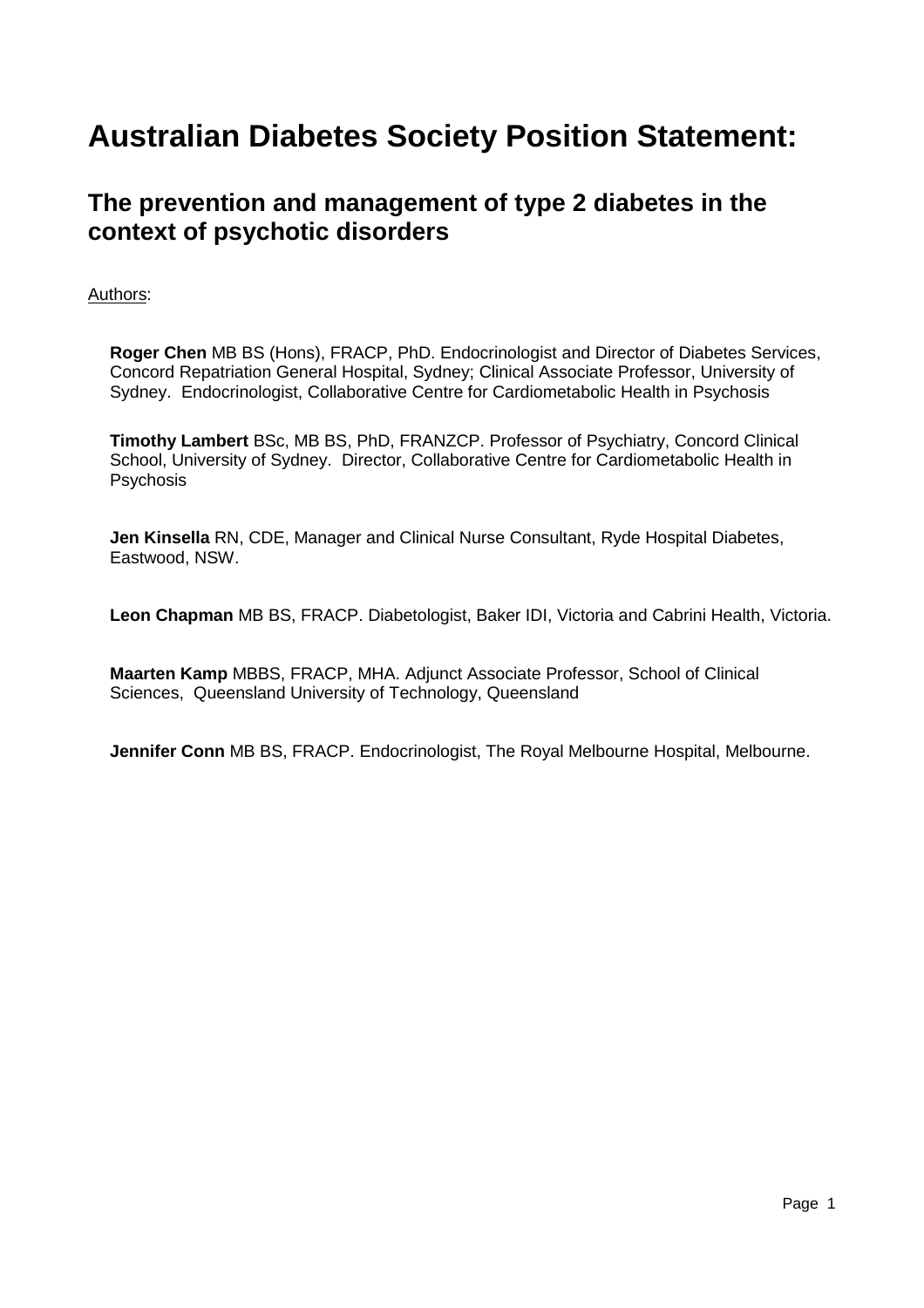# **Australian Diabetes Society Position Statement:**

# **The prevention and management of type 2 diabetes in the context of psychotic disorders**

# Authors:

**Roger Chen** MB BS (Hons), FRACP, PhD. Endocrinologist and Director of Diabetes Services, Concord Repatriation General Hospital, Sydney; Clinical Associate Professor, University of Sydney. Endocrinologist, Collaborative Centre for Cardiometabolic Health in Psychosis

**Timothy Lambert** BSc, MB BS, PhD, FRANZCP. Professor of Psychiatry, Concord Clinical School, University of Sydney. Director, Collaborative Centre for Cardiometabolic Health in **Psychosis** 

**Jen Kinsella** RN, CDE, Manager and Clinical Nurse Consultant, Ryde Hospital Diabetes, Eastwood, NSW.

**Leon Chapman** MB BS, FRACP. Diabetologist, Baker IDI, Victoria and Cabrini Health, Victoria.

**Maarten Kamp** MBBS, FRACP, MHA. Adjunct Associate Professor, School of Clinical Sciences, Queensland University of Technology, Queensland

**Jennifer Conn MB BS, FRACP. Endocrinologist, The Royal Melbourne Hospital, Melbourne.**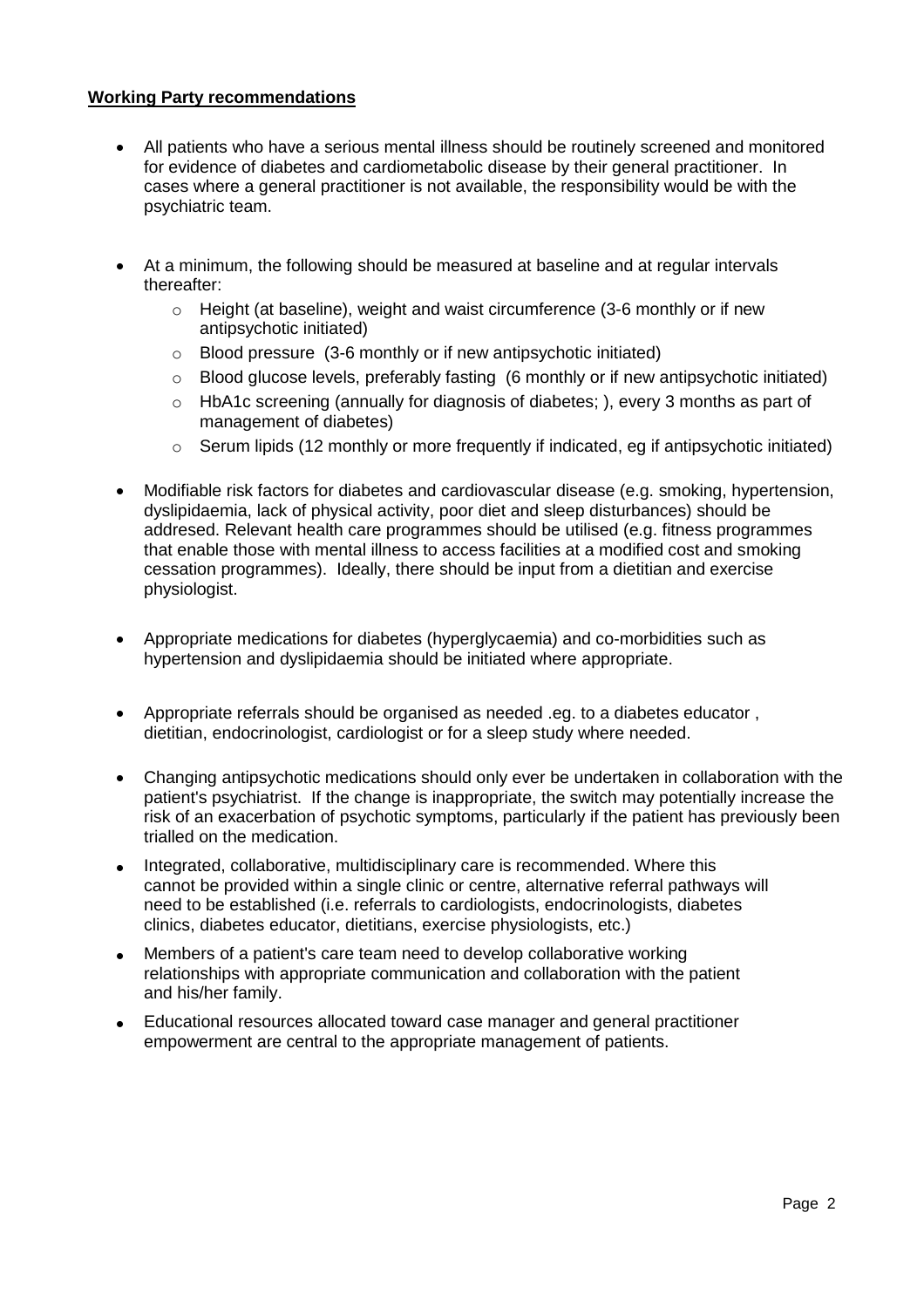#### **Working Party recommendations**

- All patients who have a serious mental illness should be routinely screened and monitored for evidence of diabetes and cardiometabolic disease by their general practitioner. In cases where a general practitioner is not available, the responsibility would be with the psychiatric team.
- At a minimum, the following should be measured at baseline and at regular intervals thereafter:
	- $\circ$  Height (at baseline), weight and waist circumference (3-6 monthly or if new antipsychotic initiated)
	- o Blood pressure (3-6 monthly or if new antipsychotic initiated)
	- o Blood glucose levels, preferably fasting (6 monthly or if new antipsychotic initiated)
	- o HbA1c screening (annually for diagnosis of diabetes; ), every 3 months as part of management of diabetes)
	- o Serum lipids (12 monthly or more frequently if indicated, eg if antipsychotic initiated)
- Modifiable risk factors for diabetes and cardiovascular disease (e.g. smoking, hypertension, dyslipidaemia, lack of physical activity, poor diet and sleep disturbances) should be addresed. Relevant health care programmes should be utilised (e.g. fitness programmes that enable those with mental illness to access facilities at a modified cost and smoking cessation programmes). Ideally, there should be input from a dietitian and exercise physiologist.
- Appropriate medications for diabetes (hyperglycaemia) and co-morbidities such as hypertension and dyslipidaemia should be initiated where appropriate.
- Appropriate referrals should be organised as needed .eg. to a diabetes educator , dietitian, endocrinologist, cardiologist or for a sleep study where needed.
- Changing antipsychotic medications should only ever be undertaken in collaboration with the patient's psychiatrist. If the change is inappropriate, the switch may potentially increase the risk of an exacerbation of psychotic symptoms, particularly if the patient has previously been trialled on the medication.
- Integrated, collaborative, multidisciplinary care is recommended. Where this cannot be provided within a single clinic or centre, alternative referral pathways will need to be established (i.e. referrals to cardiologists, endocrinologists, diabetes clinics, diabetes educator, dietitians, exercise physiologists, etc.)
- Members of a patient's care team need to develop collaborative working relationships with appropriate communication and collaboration with the patient and his/her family.
- Educational resources allocated toward case manager and general practitioner empowerment are central to the appropriate management of patients.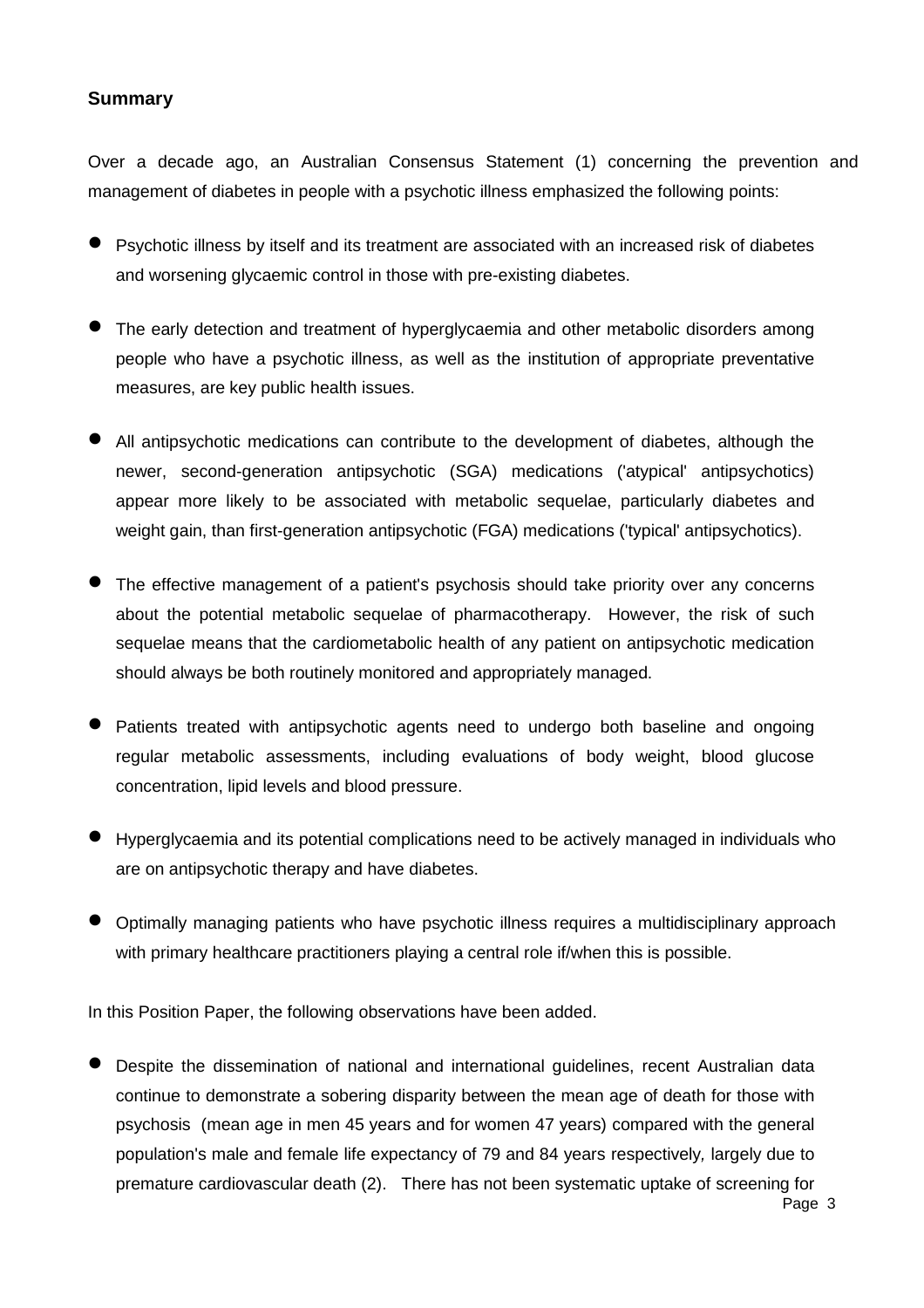# **Summary**

Over a decade ago, an Australian Consensus Statement (1) concerning the prevention and management of diabetes in people with a psychotic illness emphasized the following points:

- Psychotic illness by itself and its treatment are associated with an increased risk of diabetes and worsening glycaemic control in those with pre-existing diabetes.
- The early detection and treatment of hyperglycaemia and other metabolic disorders among people who have a psychotic illness, as well as the institution of appropriate preventative measures, are key public health issues.
- All antipsychotic medications can contribute to the development of diabetes, although the newer, second-generation antipsychotic (SGA) medications ('atypical' antipsychotics) appear more likely to be associated with metabolic sequelae, particularly diabetes and weight gain, than first-generation antipsychotic (FGA) medications ('typical' antipsychotics).
- The effective management of a patient's psychosis should take priority over any concerns about the potential metabolic sequelae of pharmacotherapy. However, the risk of such sequelae means that the cardiometabolic health of any patient on antipsychotic medication should always be both routinely monitored and appropriately managed.
- Patients treated with antipsychotic agents need to undergo both baseline and ongoing regular metabolic assessments, including evaluations of body weight, blood glucose concentration, lipid levels and blood pressure.
- Hyperglycaemia and its potential complications need to be actively managed in individuals who are on antipsychotic therapy and have diabetes.
- Optimally managing patients who have psychotic illness requires a multidisciplinary approach with primary healthcare practitioners playing a central role if/when this is possible.

In this Position Paper, the following observations have been added.

 Despite the dissemination of national and international guidelines, recent Australian data continue to demonstrate a sobering disparity between the mean age of death for those with psychosis (mean age in men 45 years and for women 47 years) compared with the general population's male and female life expectancy of 79 and 84 years respectively*,* largely due to premature cardiovascular death (2). There has not been systematic uptake of screening for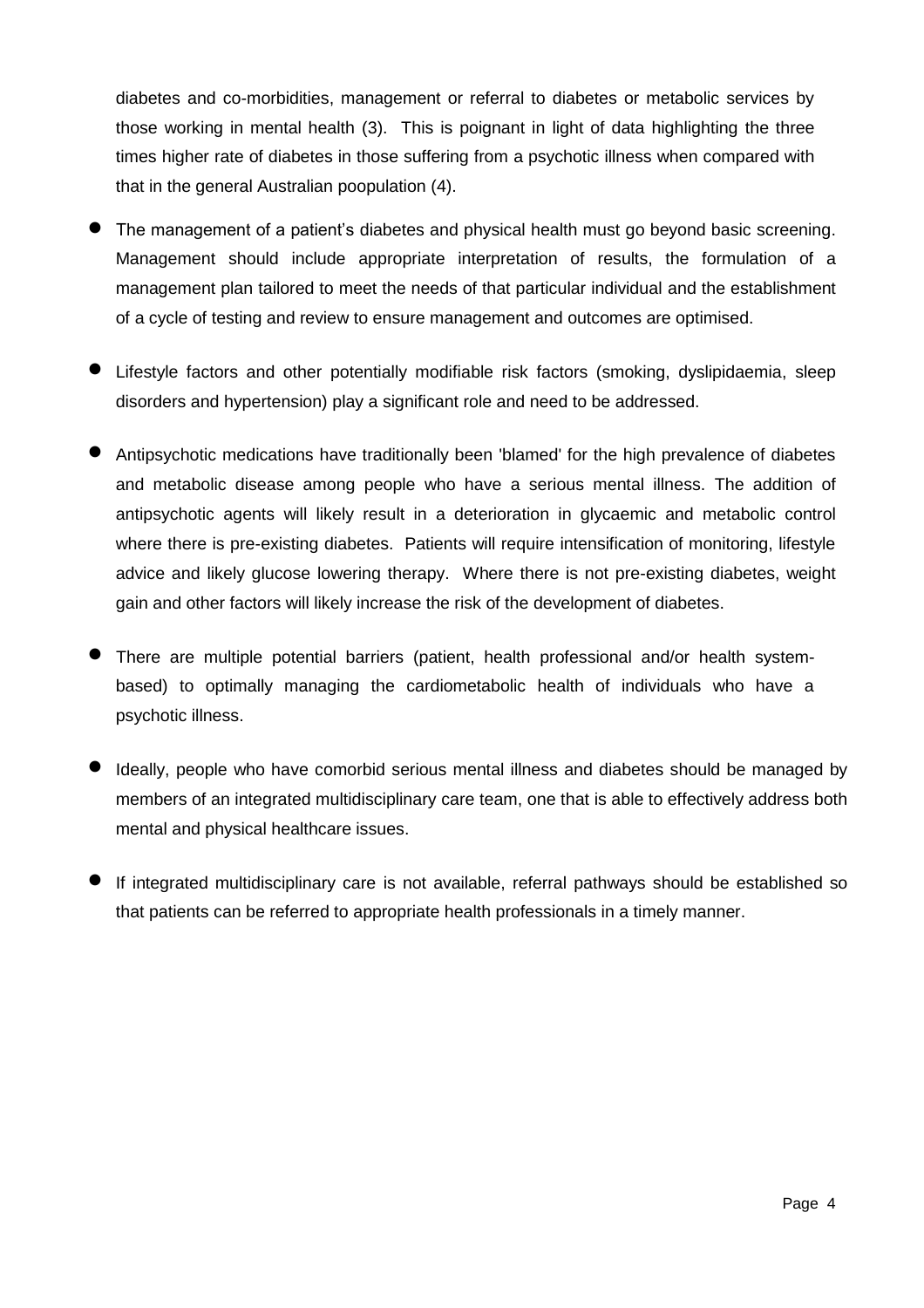diabetes and co-morbidities, management or referral to diabetes or metabolic services by those working in mental health (3). This is poignant in light of data highlighting the three times higher rate of diabetes in those suffering from a psychotic illness when compared with that in the general Australian poopulation (4).

- The management of a patient's diabetes and physical health must go beyond basic screening. Management should include appropriate interpretation of results, the formulation of a management plan tailored to meet the needs of that particular individual and the establishment of a cycle of testing and review to ensure management and outcomes are optimised.
- Lifestyle factors and other potentially modifiable risk factors (smoking, dyslipidaemia, sleep disorders and hypertension) play a significant role and need to be addressed.
- Antipsychotic medications have traditionally been 'blamed' for the high prevalence of diabetes and metabolic disease among people who have a serious mental illness. The addition of antipsychotic agents will likely result in a deterioration in glycaemic and metabolic control where there is pre-existing diabetes. Patients will require intensification of monitoring, lifestyle advice and likely glucose lowering therapy. Where there is not pre-existing diabetes, weight gain and other factors will likely increase the risk of the development of diabetes.
- There are multiple potential barriers (patient, health professional and/or health systembased) to optimally managing the cardiometabolic health of individuals who have a psychotic illness.
- Ideally, people who have comorbid serious mental illness and diabetes should be managed by members of an integrated multidisciplinary care team, one that is able to effectively address both mental and physical healthcare issues.
- If integrated multidisciplinary care is not available, referral pathways should be established so that patients can be referred to appropriate health professionals in a timely manner.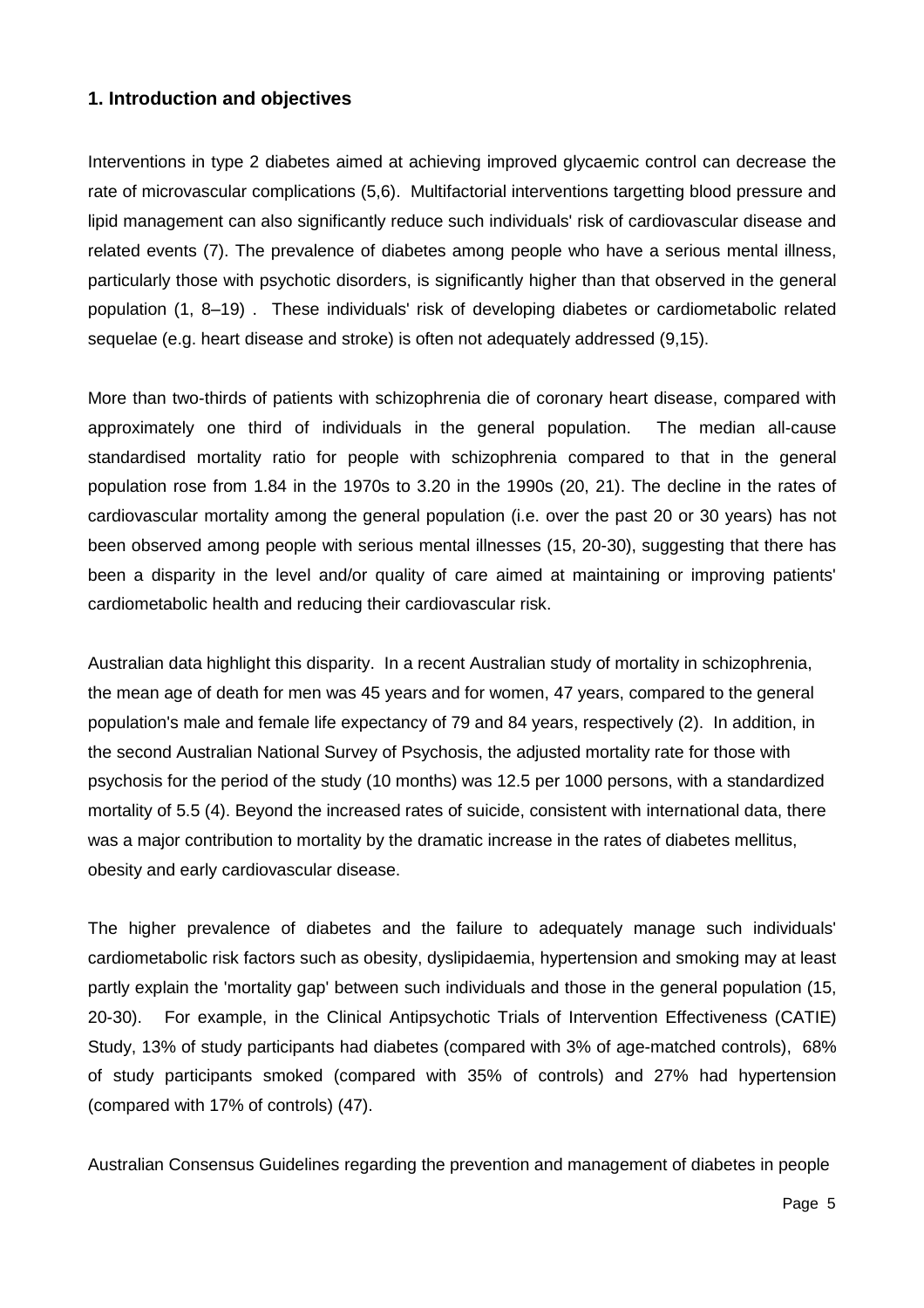# **1. Introduction and objectives**

Interventions in type 2 diabetes aimed at achieving improved glycaemic control can decrease the rate of microvascular complications (5,6). Multifactorial interventions targetting blood pressure and lipid management can also significantly reduce such individuals' risk of cardiovascular disease and related events (7). The prevalence of diabetes among people who have a serious mental illness, particularly those with psychotic disorders, is significantly higher than that observed in the general population (1, 8–19) . These individuals' risk of developing diabetes or cardiometabolic related sequelae (e.g. heart disease and stroke) is often not adequately addressed (9,15).

More than two-thirds of patients with schizophrenia die of coronary heart disease, compared with approximately one third of individuals in the general population. The median all-cause standardised mortality ratio for people with schizophrenia compared to that in the general population rose from 1.84 in the 1970s to 3.20 in the 1990s (20, 21). The decline in the rates of cardiovascular mortality among the general population (i.e. over the past 20 or 30 years) has not been observed among people with serious mental illnesses (15, 20-30), suggesting that there has been a disparity in the level and/or quality of care aimed at maintaining or improving patients' cardiometabolic health and reducing their cardiovascular risk.

Australian data highlight this disparity. In a recent Australian study of mortality in schizophrenia, the mean age of death for men was 45 years and for women, 47 years, compared to the general population's male and female life expectancy of 79 and 84 years, respectively (2). In addition, in the second Australian National Survey of Psychosis, the adjusted mortality rate for those with psychosis for the period of the study (10 months) was 12.5 per 1000 persons, with a standardized mortality of 5.5 (4). Beyond the increased rates of suicide, consistent with international data, there was a major contribution to mortality by the dramatic increase in the rates of diabetes mellitus, obesity and early cardiovascular disease.

The higher prevalence of diabetes and the failure to adequately manage such individuals' cardiometabolic risk factors such as obesity, dyslipidaemia, hypertension and smoking may at least partly explain the 'mortality gap' between such individuals and those in the general population (15, 20-30). For example, in the Clinical Antipsychotic Trials of Intervention Effectiveness (CATIE) Study, 13% of study participants had diabetes (compared with 3% of age-matched controls), 68% of study participants smoked (compared with 35% of controls) and 27% had hypertension (compared with 17% of controls) (47).

Australian Consensus Guidelines regarding the prevention and management of diabetes in people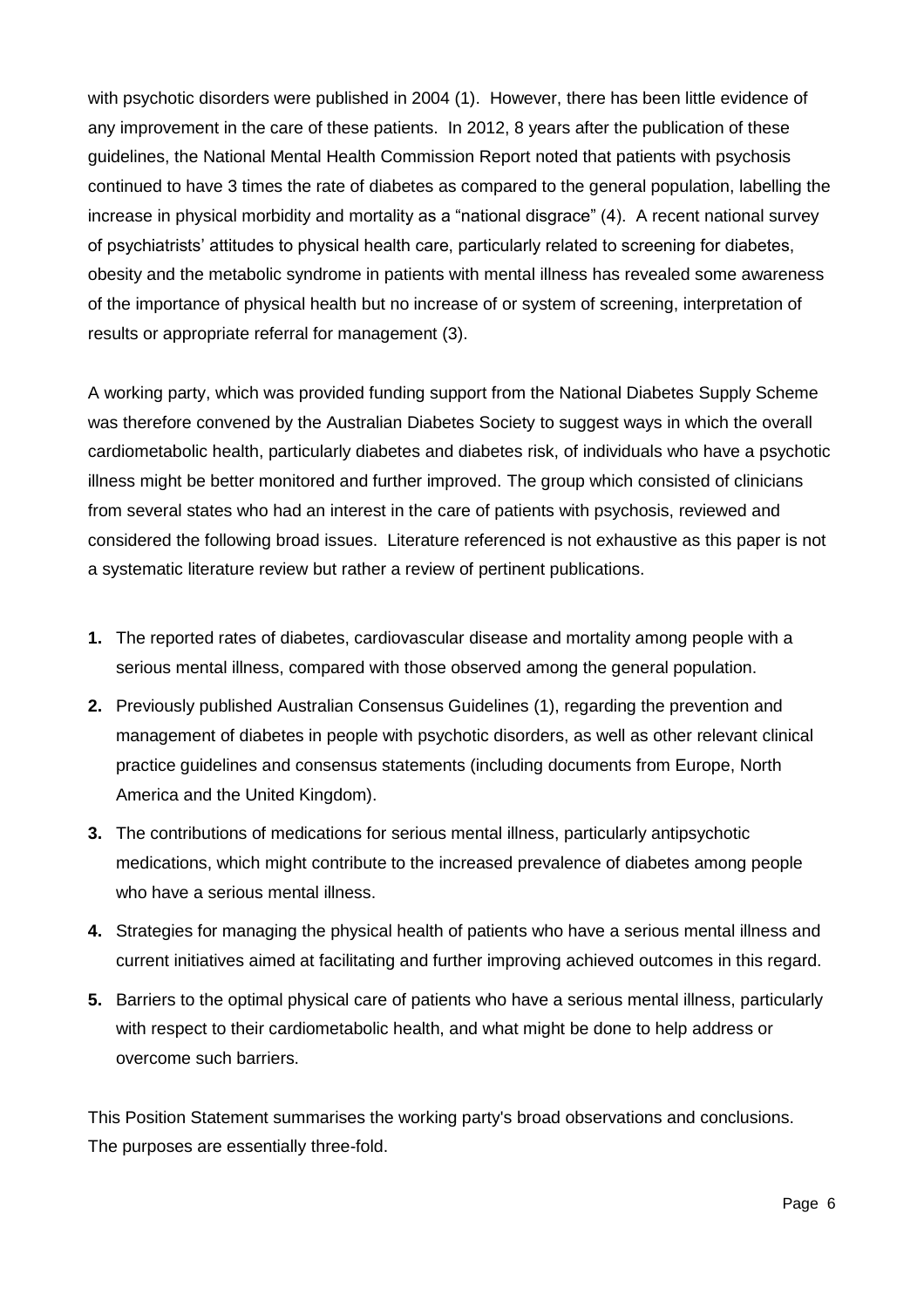with psychotic disorders were published in 2004 (1). However, there has been little evidence of any improvement in the care of these patients. In 2012, 8 years after the publication of these guidelines, the National Mental Health Commission Report noted that patients with psychosis continued to have 3 times the rate of diabetes as compared to the general population, labelling the increase in physical morbidity and mortality as a "national disgrace" (4). A recent national survey of psychiatrists' attitudes to physical health care, particularly related to screening for diabetes, obesity and the metabolic syndrome in patients with mental illness has revealed some awareness of the importance of physical health but no increase of or system of screening, interpretation of results or appropriate referral for management (3).

A working party, which was provided funding support from the National Diabetes Supply Scheme was therefore convened by the Australian Diabetes Society to suggest ways in which the overall cardiometabolic health, particularly diabetes and diabetes risk, of individuals who have a psychotic illness might be better monitored and further improved. The group which consisted of clinicians from several states who had an interest in the care of patients with psychosis, reviewed and considered the following broad issues. Literature referenced is not exhaustive as this paper is not a systematic literature review but rather a review of pertinent publications.

- **1.** The reported rates of diabetes, cardiovascular disease and mortality among people with a serious mental illness, compared with those observed among the general population.
- **2.** Previously published Australian Consensus Guidelines (1), regarding the prevention and management of diabetes in people with psychotic disorders, as well as other relevant clinical practice guidelines and consensus statements (including documents from Europe, North America and the United Kingdom).
- **3.** The contributions of medications for serious mental illness, particularly antipsychotic medications, which might contribute to the increased prevalence of diabetes among people who have a serious mental illness.
- **4.** Strategies for managing the physical health of patients who have a serious mental illness and current initiatives aimed at facilitating and further improving achieved outcomes in this regard.
- **5.** Barriers to the optimal physical care of patients who have a serious mental illness, particularly with respect to their cardiometabolic health, and what might be done to help address or overcome such barriers.

This Position Statement summarises the working party's broad observations and conclusions. The purposes are essentially three-fold.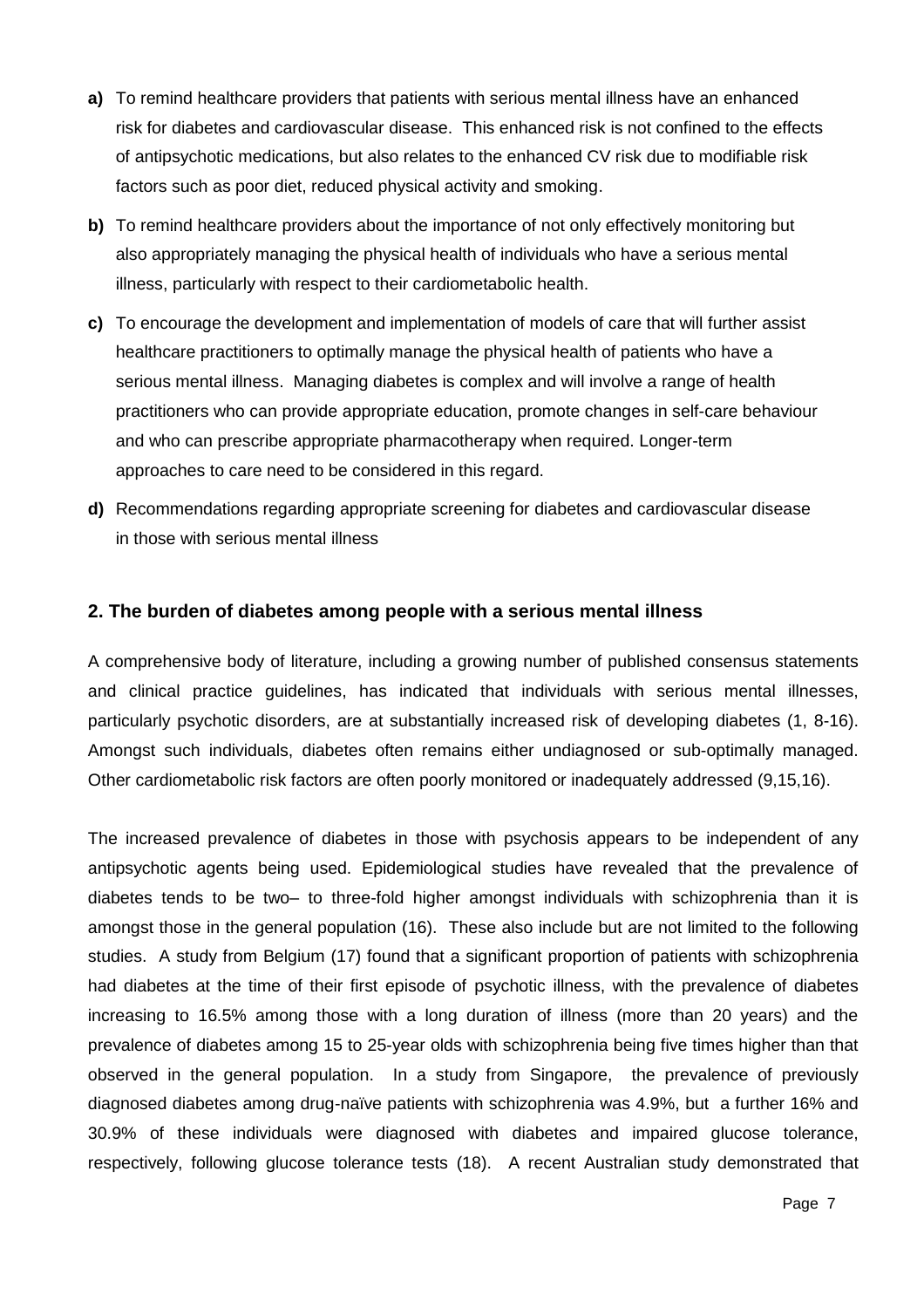- **a)** To remind healthcare providers that patients with serious mental illness have an enhanced risk for diabetes and cardiovascular disease. This enhanced risk is not confined to the effects of antipsychotic medications, but also relates to the enhanced CV risk due to modifiable risk factors such as poor diet, reduced physical activity and smoking.
- **b)** To remind healthcare providers about the importance of not only effectively monitoring but also appropriately managing the physical health of individuals who have a serious mental illness, particularly with respect to their cardiometabolic health.
- **c)** To encourage the development and implementation of models of care that will further assist healthcare practitioners to optimally manage the physical health of patients who have a serious mental illness. Managing diabetes is complex and will involve a range of health practitioners who can provide appropriate education, promote changes in self-care behaviour and who can prescribe appropriate pharmacotherapy when required. Longer-term approaches to care need to be considered in this regard.
- **d)** Recommendations regarding appropriate screening for diabetes and cardiovascular disease in those with serious mental illness

#### **2. The burden of diabetes among people with a serious mental illness**

A comprehensive body of literature, including a growing number of published consensus statements and clinical practice guidelines, has indicated that individuals with serious mental illnesses, particularly psychotic disorders, are at substantially increased risk of developing diabetes (1, 8-16). Amongst such individuals, diabetes often remains either undiagnosed or sub-optimally managed. Other cardiometabolic risk factors are often poorly monitored or inadequately addressed (9,15,16).

The increased prevalence of diabetes in those with psychosis appears to be independent of any antipsychotic agents being used. Epidemiological studies have revealed that the prevalence of diabetes tends to be two– to three-fold higher amongst individuals with schizophrenia than it is amongst those in the general population (16). These also include but are not limited to the following studies. A study from Belgium (17) found that a significant proportion of patients with schizophrenia had diabetes at the time of their first episode of psychotic illness, with the prevalence of diabetes increasing to 16.5% among those with a long duration of illness (more than 20 years) and the prevalence of diabetes among 15 to 25-year olds with schizophrenia being five times higher than that observed in the general population. In a study from Singapore, the prevalence of previously diagnosed diabetes among drug-naïve patients with schizophrenia was 4.9%, but a further 16% and 30.9% of these individuals were diagnosed with diabetes and impaired glucose tolerance, respectively, following glucose tolerance tests (18). A recent Australian study demonstrated that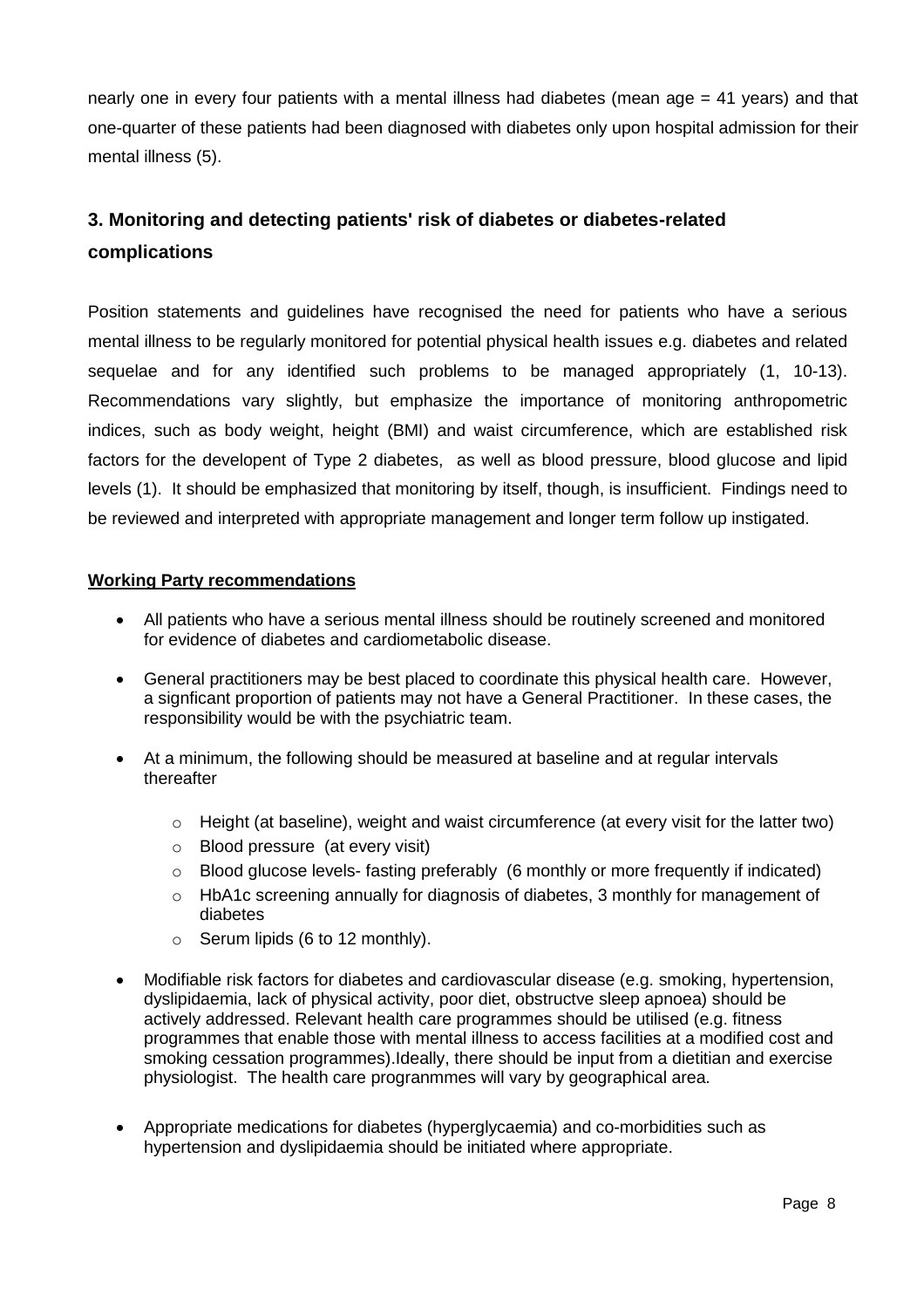nearly one in every four patients with a mental illness had diabetes (mean age = 41 years) and that one-quarter of these patients had been diagnosed with diabetes only upon hospital admission for their mental illness (5).

# **3. Monitoring and detecting patients' risk of diabetes or diabetes-related complications**

Position statements and guidelines have recognised the need for patients who have a serious mental illness to be regularly monitored for potential physical health issues e.g. diabetes and related sequelae and for any identified such problems to be managed appropriately (1, 10-13). Recommendations vary slightly, but emphasize the importance of monitoring anthropometric indices, such as body weight, height (BMI) and waist circumference, which are established risk factors for the developent of Type 2 diabetes, as well as blood pressure, blood glucose and lipid levels (1). It should be emphasized that monitoring by itself, though, is insufficient. Findings need to be reviewed and interpreted with appropriate management and longer term follow up instigated.

# **Working Party recommendations**

- All patients who have a serious mental illness should be routinely screened and monitored for evidence of diabetes and cardiometabolic disease.
- General practitioners may be best placed to coordinate this physical health care. However, a signficant proportion of patients may not have a General Practitioner. In these cases, the responsibility would be with the psychiatric team.
- At a minimum, the following should be measured at baseline and at regular intervals thereafter
	- o Height (at baseline), weight and waist circumference (at every visit for the latter two)
	- o Blood pressure (at every visit)
	- $\circ$  Blood glucose levels- fasting preferably (6 monthly or more frequently if indicated)
	- o HbA1c screening annually for diagnosis of diabetes, 3 monthly for management of diabetes
	- o Serum lipids (6 to 12 monthly).
- Modifiable risk factors for diabetes and cardiovascular disease (e.g. smoking, hypertension, dyslipidaemia, lack of physical activity, poor diet, obstructve sleep apnoea) should be actively addressed. Relevant health care programmes should be utilised (e.g. fitness programmes that enable those with mental illness to access facilities at a modified cost and smoking cessation programmes).Ideally, there should be input from a dietitian and exercise physiologist. The health care progranmmes will vary by geographical area.
- Appropriate medications for diabetes (hyperglycaemia) and co-morbidities such as hypertension and dyslipidaemia should be initiated where appropriate.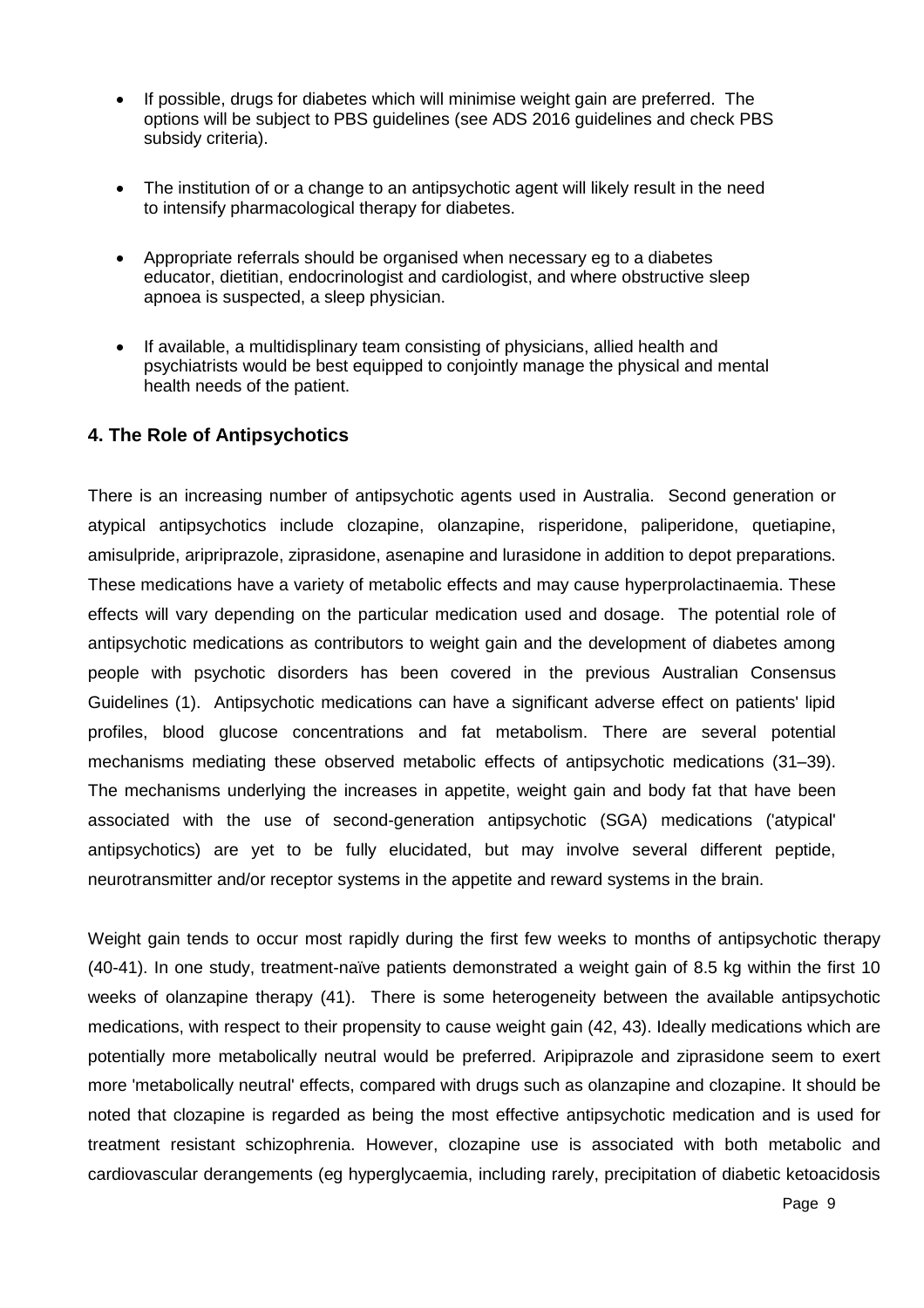- If possible, drugs for diabetes which will minimise weight gain are preferred. The options will be subject to PBS guidelines (see ADS 2016 guidelines and check PBS subsidy criteria).
- The institution of or a change to an antipsychotic agent will likely result in the need to intensify pharmacological therapy for diabetes.
- Appropriate referrals should be organised when necessary eg to a diabetes educator, dietitian, endocrinologist and cardiologist, and where obstructive sleep apnoea is suspected, a sleep physician.
- If available, a multidisplinary team consisting of physicians, allied health and psychiatrists would be best equipped to conjointly manage the physical and mental health needs of the patient.

# **4. The Role of Antipsychotics**

There is an increasing number of antipsychotic agents used in Australia. Second generation or atypical antipsychotics include clozapine, olanzapine, risperidone, paliperidone, quetiapine, amisulpride, aripriprazole, ziprasidone, asenapine and lurasidone in addition to depot preparations. These medications have a variety of metabolic effects and may cause hyperprolactinaemia. These effects will vary depending on the particular medication used and dosage. The potential role of antipsychotic medications as contributors to weight gain and the development of diabetes among people with psychotic disorders has been covered in the previous Australian Consensus Guidelines (1). Antipsychotic medications can have a significant adverse effect on patients' lipid profiles, blood glucose concentrations and fat metabolism. There are several potential mechanisms mediating these observed metabolic effects of antipsychotic medications (31–39). The mechanisms underlying the increases in appetite, weight gain and body fat that have been associated with the use of second-generation antipsychotic (SGA) medications ('atypical' antipsychotics) are yet to be fully elucidated, but may involve several different peptide, neurotransmitter and/or receptor systems in the appetite and reward systems in the brain.

Weight gain tends to occur most rapidly during the first few weeks to months of antipsychotic therapy (40-41). In one study, treatment-naïve patients demonstrated a weight gain of 8.5 kg within the first 10 weeks of olanzapine therapy (41). There is some heterogeneity between the available antipsychotic medications, with respect to their propensity to cause weight gain (42, 43). Ideally medications which are potentially more metabolically neutral would be preferred. Aripiprazole and ziprasidone seem to exert more 'metabolically neutral' effects, compared with drugs such as olanzapine and clozapine. It should be noted that clozapine is regarded as being the most effective antipsychotic medication and is used for treatment resistant schizophrenia. However, clozapine use is associated with both metabolic and cardiovascular derangements (eg hyperglycaemia, including rarely, precipitation of diabetic ketoacidosis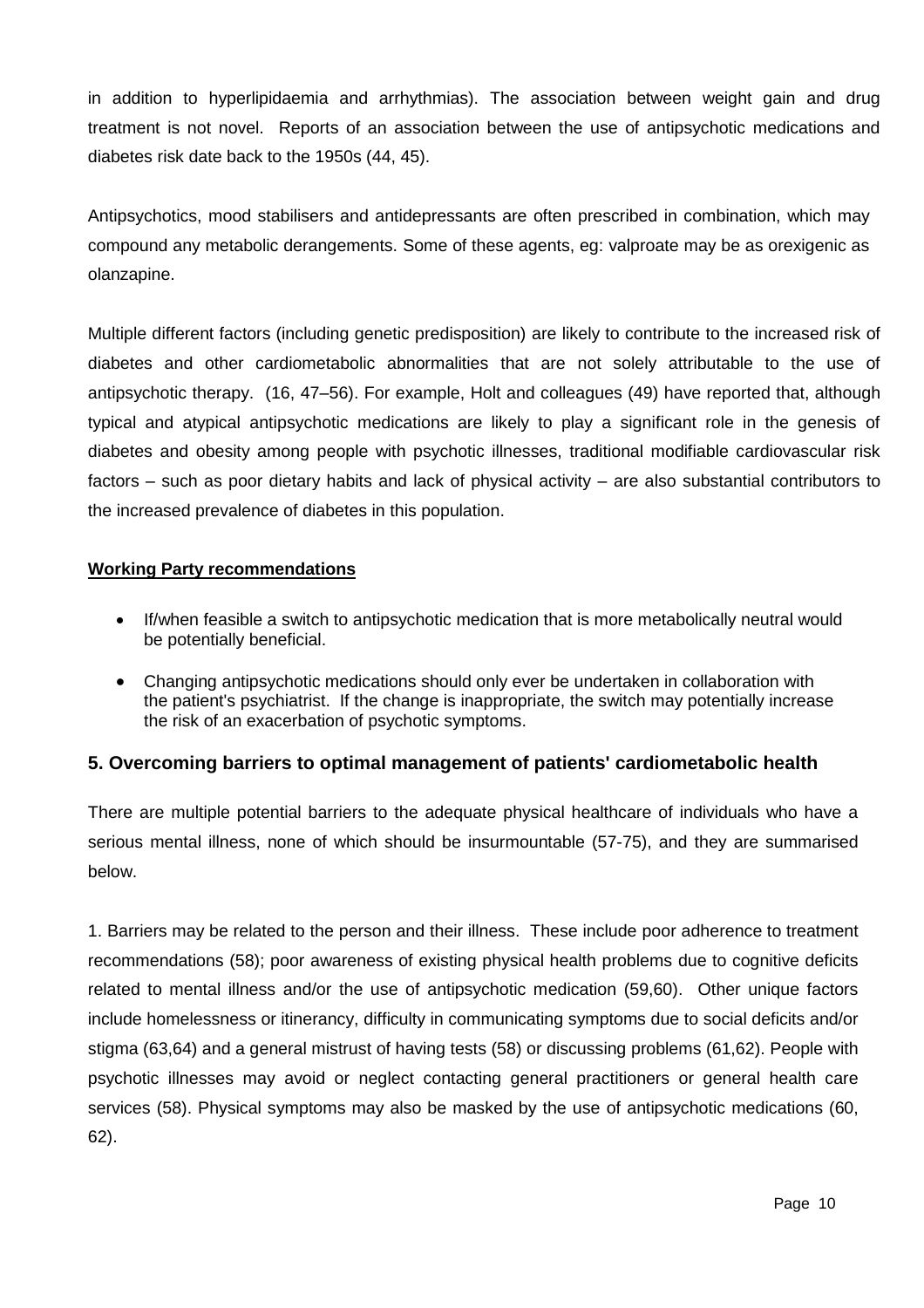in addition to hyperlipidaemia and arrhythmias). The association between weight gain and drug treatment is not novel. Reports of an association between the use of antipsychotic medications and diabetes risk date back to the 1950s (44, 45).

Antipsychotics, mood stabilisers and antidepressants are often prescribed in combination, which may compound any metabolic derangements. Some of these agents, eg: valproate may be as orexigenic as olanzapine.

Multiple different factors (including genetic predisposition) are likely to contribute to the increased risk of diabetes and other cardiometabolic abnormalities that are not solely attributable to the use of antipsychotic therapy. (16, 47–56). For example, Holt and colleagues (49) have reported that, although typical and atypical antipsychotic medications are likely to play a significant role in the genesis of diabetes and obesity among people with psychotic illnesses, traditional modifiable cardiovascular risk factors – such as poor dietary habits and lack of physical activity – are also substantial contributors to the increased prevalence of diabetes in this population.

# **Working Party recommendations**

- If/when feasible a switch to antipsychotic medication that is more metabolically neutral would be potentially beneficial.
- Changing antipsychotic medications should only ever be undertaken in collaboration with the patient's psychiatrist. If the change is inappropriate, the switch may potentially increase the risk of an exacerbation of psychotic symptoms.

# **5. Overcoming barriers to optimal management of patients' cardiometabolic health**

There are multiple potential barriers to the adequate physical healthcare of individuals who have a serious mental illness, none of which should be insurmountable (57-75), and they are summarised below.

1. Barriers may be related to the person and their illness. These include poor adherence to treatment recommendations (58); poor awareness of existing physical health problems due to cognitive deficits related to mental illness and/or the use of antipsychotic medication (59,60). Other unique factors include homelessness or itinerancy, difficulty in communicating symptoms due to social deficits and/or stigma (63,64) and a general mistrust of having tests (58) or discussing problems (61,62). People with psychotic illnesses may avoid or neglect contacting general practitioners or general health care services (58). Physical symptoms may also be masked by the use of antipsychotic medications (60, 62).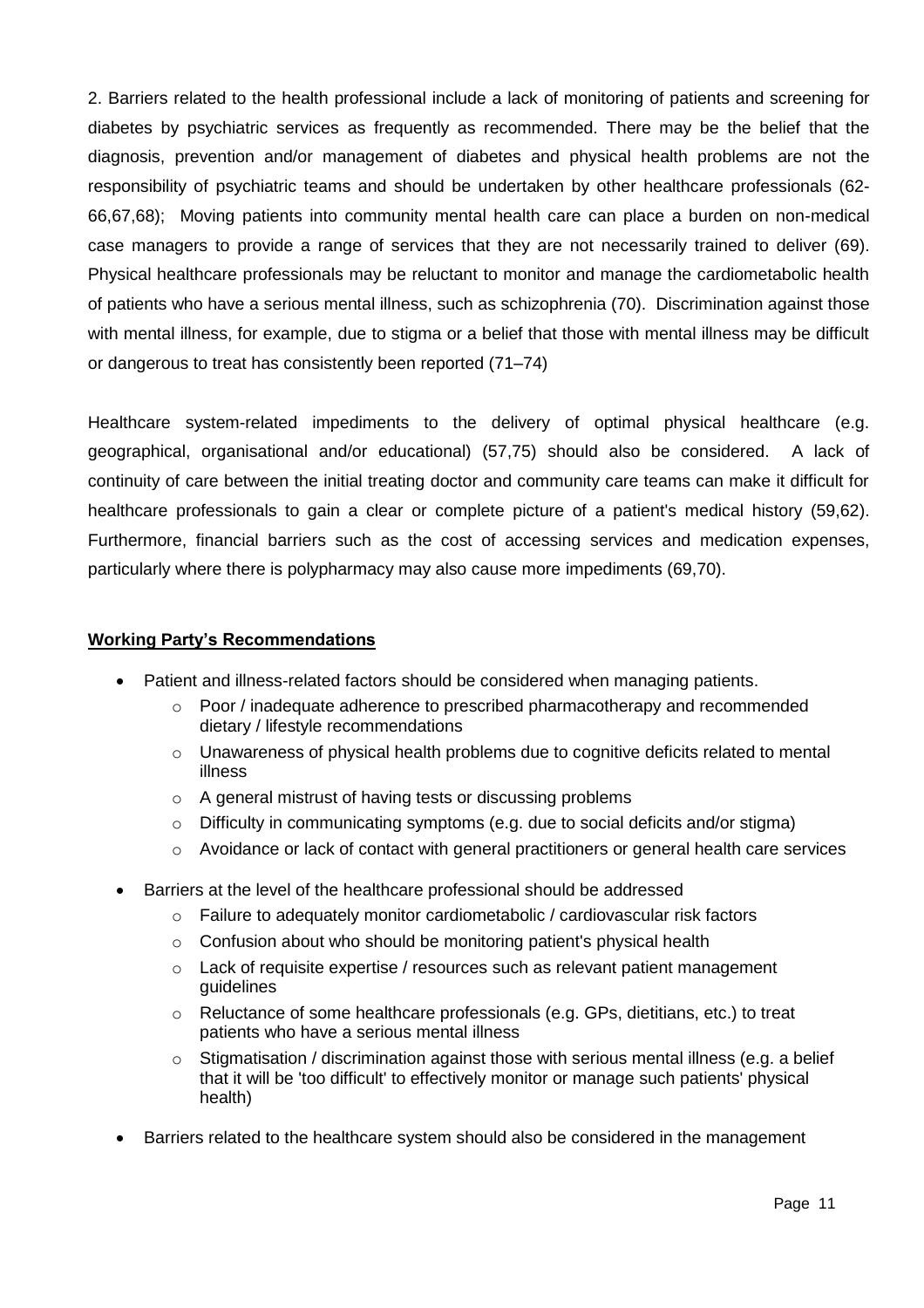2. Barriers related to the health professional include a lack of monitoring of patients and screening for diabetes by psychiatric services as frequently as recommended. There may be the belief that the diagnosis, prevention and/or management of diabetes and physical health problems are not the responsibility of psychiatric teams and should be undertaken by other healthcare professionals (62- 66,67,68); Moving patients into community mental health care can place a burden on non-medical case managers to provide a range of services that they are not necessarily trained to deliver (69). Physical healthcare professionals may be reluctant to monitor and manage the cardiometabolic health of patients who have a serious mental illness, such as schizophrenia (70). Discrimination against those with mental illness, for example, due to stigma or a belief that those with mental illness may be difficult or dangerous to treat has consistently been reported (71–74)

Healthcare system-related impediments to the delivery of optimal physical healthcare (e.g. geographical, organisational and/or educational) (57,75) should also be considered. A lack of continuity of care between the initial treating doctor and community care teams can make it difficult for healthcare professionals to gain a clear or complete picture of a patient's medical history (59,62). Furthermore, financial barriers such as the cost of accessing services and medication expenses, particularly where there is polypharmacy may also cause more impediments (69,70).

#### **Working Party's Recommendations**

- Patient and illness-related factors should be considered when managing patients.
	- o Poor / inadequate adherence to prescribed pharmacotherapy and recommended dietary / lifestyle recommendations
	- o Unawareness of physical health problems due to cognitive deficits related to mental illness
	- o A general mistrust of having tests or discussing problems
	- o Difficulty in communicating symptoms (e.g. due to social deficits and/or stigma)
	- o Avoidance or lack of contact with general practitioners or general health care services
- Barriers at the level of the healthcare professional should be addressed
	- $\circ$  Failure to adequately monitor cardiometabolic / cardiovascular risk factors
	- o Confusion about who should be monitoring patient's physical health
	- $\circ$  Lack of requisite expertise / resources such as relevant patient management guidelines
	- o Reluctance of some healthcare professionals (e.g. GPs, dietitians, etc.) to treat patients who have a serious mental illness
	- $\circ$  Stigmatisation / discrimination against those with serious mental illness (e.g. a belief that it will be 'too difficult' to effectively monitor or manage such patients' physical health)
- Barriers related to the healthcare system should also be considered in the management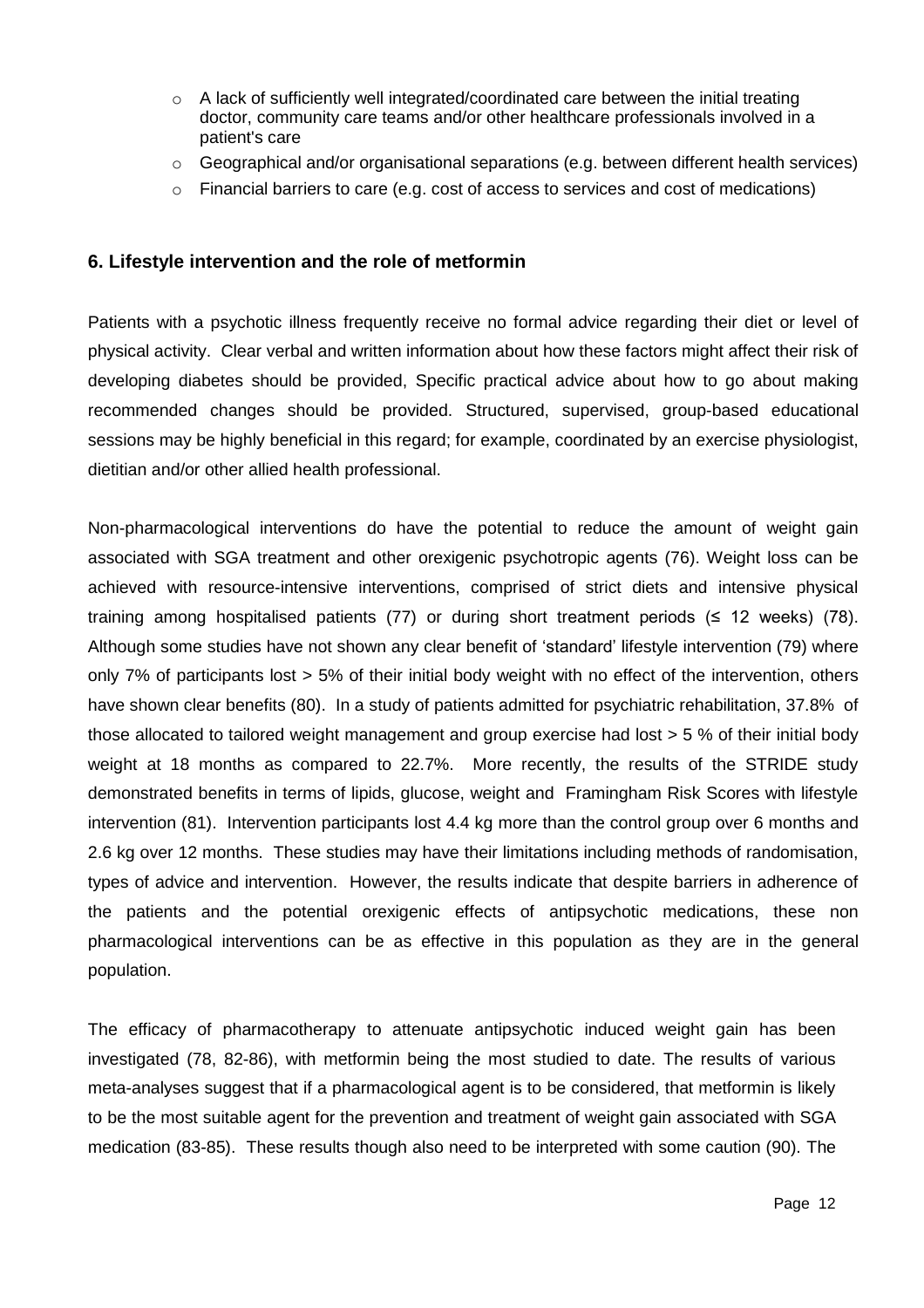- o A lack of sufficiently well integrated/coordinated care between the initial treating doctor, community care teams and/or other healthcare professionals involved in a patient's care
- o Geographical and/or organisational separations (e.g. between different health services)
- o Financial barriers to care (e.g. cost of access to services and cost of medications)

# **6. Lifestyle intervention and the role of metformin**

Patients with a psychotic illness frequently receive no formal advice regarding their diet or level of physical activity. Clear verbal and written information about how these factors might affect their risk of developing diabetes should be provided, Specific practical advice about how to go about making recommended changes should be provided. Structured, supervised, group-based educational sessions may be highly beneficial in this regard; for example, coordinated by an exercise physiologist, dietitian and/or other allied health professional.

Non-pharmacological interventions do have the potential to reduce the amount of weight gain associated with SGA treatment and other orexigenic psychotropic agents (76). Weight loss can be achieved with resource-intensive interventions, comprised of strict diets and intensive physical training among hospitalised patients (77) or during short treatment periods (≤ 12 weeks) (78). Although some studies have not shown any clear benefit of 'standard' lifestyle intervention (79) where only 7% of participants lost > 5% of their initial body weight with no effect of the intervention, others have shown clear benefits (80). In a study of patients admitted for psychiatric rehabilitation, 37.8% of those allocated to tailored weight management and group exercise had lost > 5 % of their initial body weight at 18 months as compared to 22.7%. More recently, the results of the STRIDE study demonstrated benefits in terms of lipids, glucose, weight and Framingham Risk Scores with lifestyle intervention (81). Intervention participants lost 4.4 kg more than the control group over 6 months and 2.6 kg over 12 months. These studies may have their limitations including methods of randomisation, types of advice and intervention. However, the results indicate that despite barriers in adherence of the patients and the potential orexigenic effects of antipsychotic medications, these non pharmacological interventions can be as effective in this population as they are in the general population.

The efficacy of pharmacotherapy to attenuate antipsychotic induced weight gain has been investigated (78, 82-86), with metformin being the most studied to date. The results of various meta-analyses suggest that if a pharmacological agent is to be considered, that metformin is likely to be the most suitable agent for the prevention and treatment of weight gain associated with SGA medication (83-85). These results though also need to be interpreted with some caution (90). The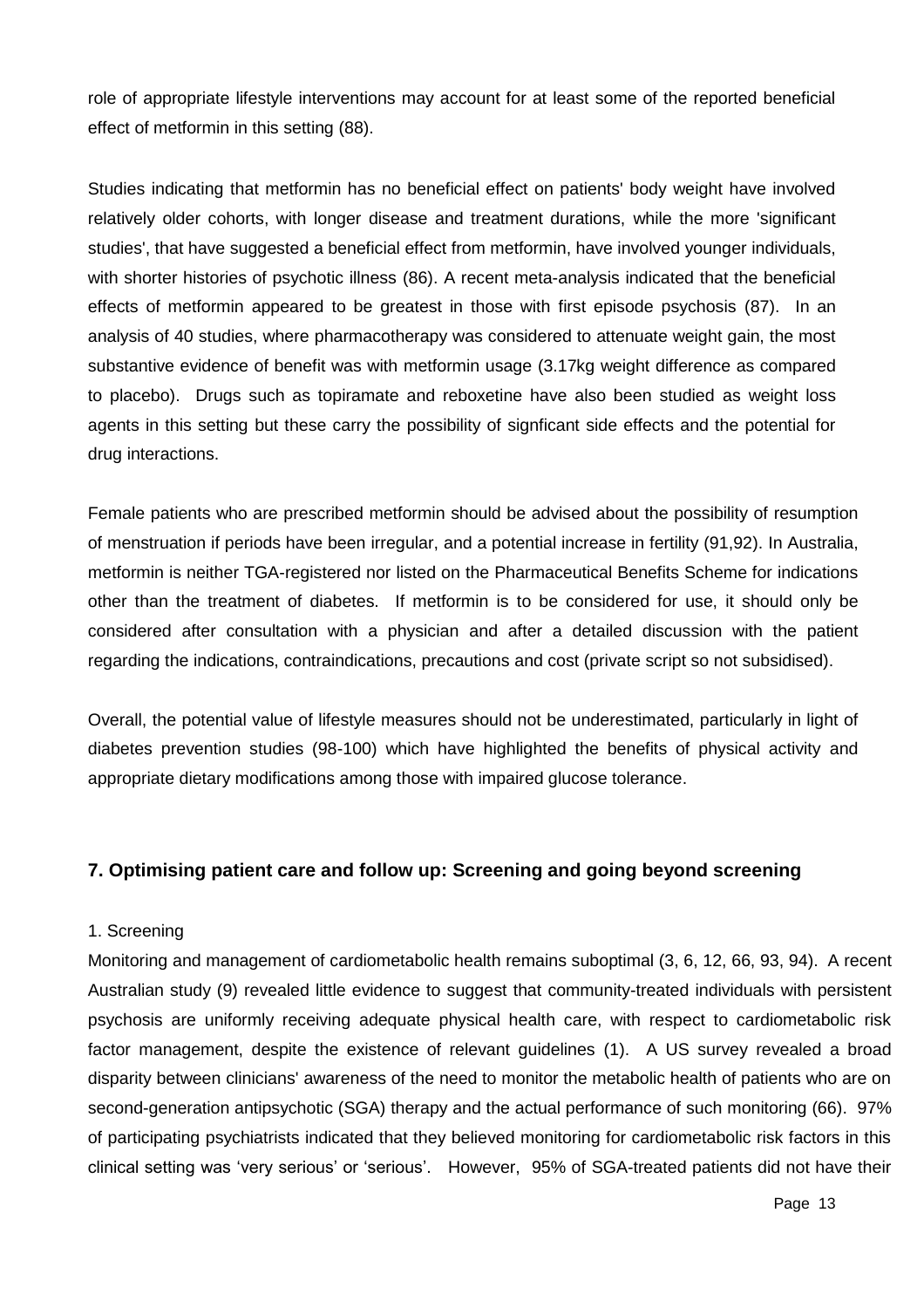role of appropriate lifestyle interventions may account for at least some of the reported beneficial effect of metformin in this setting (88).

Studies indicating that metformin has no beneficial effect on patients' body weight have involved relatively older cohorts, with longer disease and treatment durations, while the more 'significant studies', that have suggested a beneficial effect from metformin, have involved younger individuals, with shorter histories of psychotic illness (86). A recent meta-analysis indicated that the beneficial effects of metformin appeared to be greatest in those with first episode psychosis (87). In an analysis of 40 studies, where pharmacotherapy was considered to attenuate weight gain, the most substantive evidence of benefit was with metformin usage (3.17kg weight difference as compared to placebo). Drugs such as topiramate and reboxetine have also been studied as weight loss agents in this setting but these carry the possibility of signficant side effects and the potential for drug interactions.

Female patients who are prescribed metformin should be advised about the possibility of resumption of menstruation if periods have been irregular, and a potential increase in fertility (91,92). In Australia, metformin is neither TGA-registered nor listed on the Pharmaceutical Benefits Scheme for indications other than the treatment of diabetes. If metformin is to be considered for use, it should only be considered after consultation with a physician and after a detailed discussion with the patient regarding the indications, contraindications, precautions and cost (private script so not subsidised).

Overall, the potential value of lifestyle measures should not be underestimated, particularly in light of diabetes prevention studies (98-100) which have highlighted the benefits of physical activity and appropriate dietary modifications among those with impaired glucose tolerance.

# **7. Optimising patient care and follow up: Screening and going beyond screening**

#### 1. Screening

Monitoring and management of cardiometabolic health remains suboptimal (3, 6, 12, 66, 93, 94). A recent Australian study (9) revealed little evidence to suggest that community-treated individuals with persistent psychosis are uniformly receiving adequate physical health care, with respect to cardiometabolic risk factor management, despite the existence of relevant guidelines (1). A US survey revealed a broad disparity between clinicians' awareness of the need to monitor the metabolic health of patients who are on second-generation antipsychotic (SGA) therapy and the actual performance of such monitoring (66). 97% of participating psychiatrists indicated that they believed monitoring for cardiometabolic risk factors in this clinical setting was 'very serious' or 'serious'. However, 95% of SGA-treated patients did not have their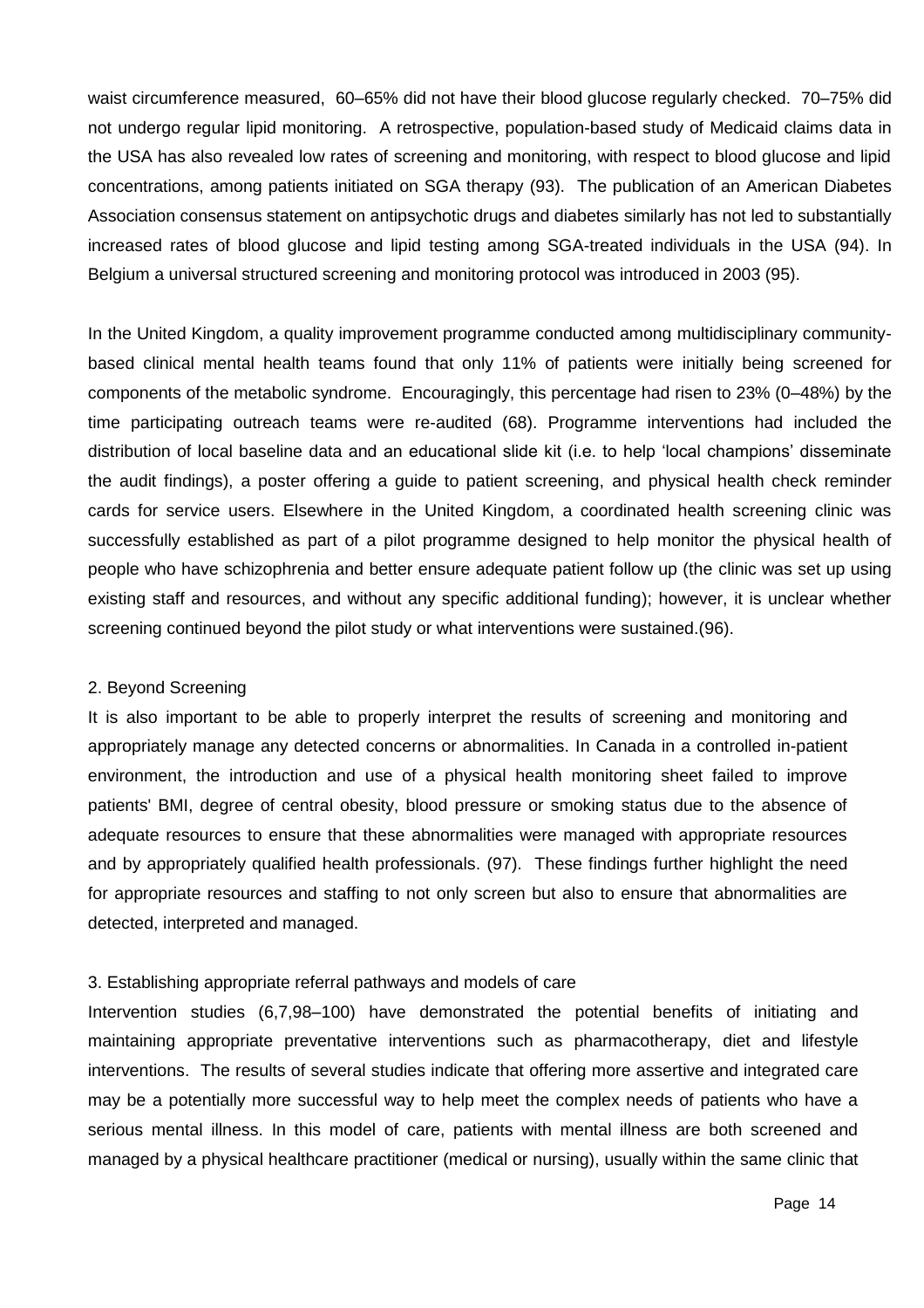waist circumference measured, 60–65% did not have their blood glucose regularly checked. 70–75% did not undergo regular lipid monitoring. A retrospective, population-based study of Medicaid claims data in the USA has also revealed low rates of screening and monitoring, with respect to blood glucose and lipid concentrations, among patients initiated on SGA therapy (93). The publication of an American Diabetes Association consensus statement on antipsychotic drugs and diabetes similarly has not led to substantially increased rates of blood glucose and lipid testing among SGA-treated individuals in the USA (94). In Belgium a universal structured screening and monitoring protocol was introduced in 2003 (95).

In the United Kingdom, a quality improvement programme conducted among multidisciplinary communitybased clinical mental health teams found that only 11% of patients were initially being screened for components of the metabolic syndrome. Encouragingly, this percentage had risen to 23% (0–48%) by the time participating outreach teams were re-audited (68). Programme interventions had included the distribution of local baseline data and an educational slide kit (i.e. to help 'local champions' disseminate the audit findings), a poster offering a guide to patient screening, and physical health check reminder cards for service users. Elsewhere in the United Kingdom, a coordinated health screening clinic was successfully established as part of a pilot programme designed to help monitor the physical health of people who have schizophrenia and better ensure adequate patient follow up (the clinic was set up using existing staff and resources, and without any specific additional funding); however, it is unclear whether screening continued beyond the pilot study or what interventions were sustained.(96).

#### 2. Beyond Screening

It is also important to be able to properly interpret the results of screening and monitoring and appropriately manage any detected concerns or abnormalities. In Canada in a controlled in-patient environment, the introduction and use of a physical health monitoring sheet failed to improve patients' BMI, degree of central obesity, blood pressure or smoking status due to the absence of adequate resources to ensure that these abnormalities were managed with appropriate resources and by appropriately qualified health professionals. (97). These findings further highlight the need for appropriate resources and staffing to not only screen but also to ensure that abnormalities are detected, interpreted and managed.

#### 3. Establishing appropriate referral pathways and models of care

Intervention studies (6,7,98–100) have demonstrated the potential benefits of initiating and maintaining appropriate preventative interventions such as pharmacotherapy, diet and lifestyle interventions. The results of several studies indicate that offering more assertive and integrated care may be a potentially more successful way to help meet the complex needs of patients who have a serious mental illness. In this model of care, patients with mental illness are both screened and managed by a physical healthcare practitioner (medical or nursing), usually within the same clinic that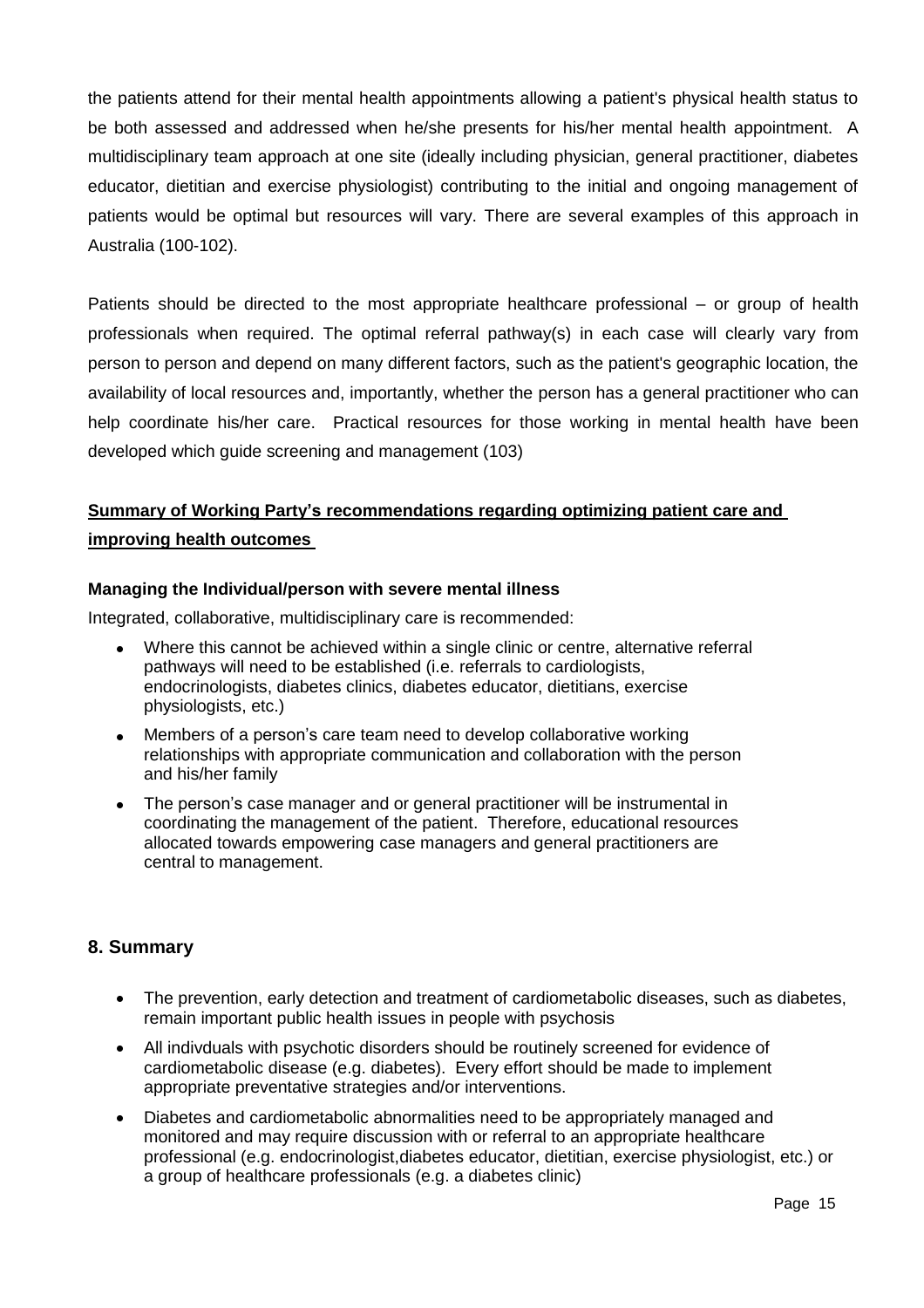the patients attend for their mental health appointments allowing a patient's physical health status to be both assessed and addressed when he/she presents for his/her mental health appointment. A multidisciplinary team approach at one site (ideally including physician, general practitioner, diabetes educator, dietitian and exercise physiologist) contributing to the initial and ongoing management of patients would be optimal but resources will vary. There are several examples of this approach in Australia (100-102).

Patients should be directed to the most appropriate healthcare professional – or group of health professionals when required. The optimal referral pathway(s) in each case will clearly vary from person to person and depend on many different factors, such as the patient's geographic location, the availability of local resources and, importantly, whether the person has a general practitioner who can help coordinate his/her care. Practical resources for those working in mental health have been developed which guide screening and management (103)

# **Summary of Working Party's recommendations regarding optimizing patient care and improving health outcomes**

#### **Managing the Individual/person with severe mental illness**

Integrated, collaborative, multidisciplinary care is recommended:

- Where this cannot be achieved within a single clinic or centre, alternative referral pathways will need to be established (i.e. referrals to cardiologists, endocrinologists, diabetes clinics, diabetes educator, dietitians, exercise physiologists, etc.)
- Members of a person's care team need to develop collaborative working relationships with appropriate communication and collaboration with the person and his/her family
- The person's case manager and or general practitioner will be instrumental in coordinating the management of the patient. Therefore, educational resources allocated towards empowering case managers and general practitioners are central to management.

#### **8. Summary**

- The prevention, early detection and treatment of cardiometabolic diseases, such as diabetes, remain important public health issues in people with psychosis
- All indivduals with psychotic disorders should be routinely screened for evidence of cardiometabolic disease (e.g. diabetes). Every effort should be made to implement appropriate preventative strategies and/or interventions.
- Diabetes and cardiometabolic abnormalities need to be appropriately managed and monitored and may require discussion with or referral to an appropriate healthcare professional (e.g. endocrinologist,diabetes educator, dietitian, exercise physiologist, etc.) or a group of healthcare professionals (e.g. a diabetes clinic)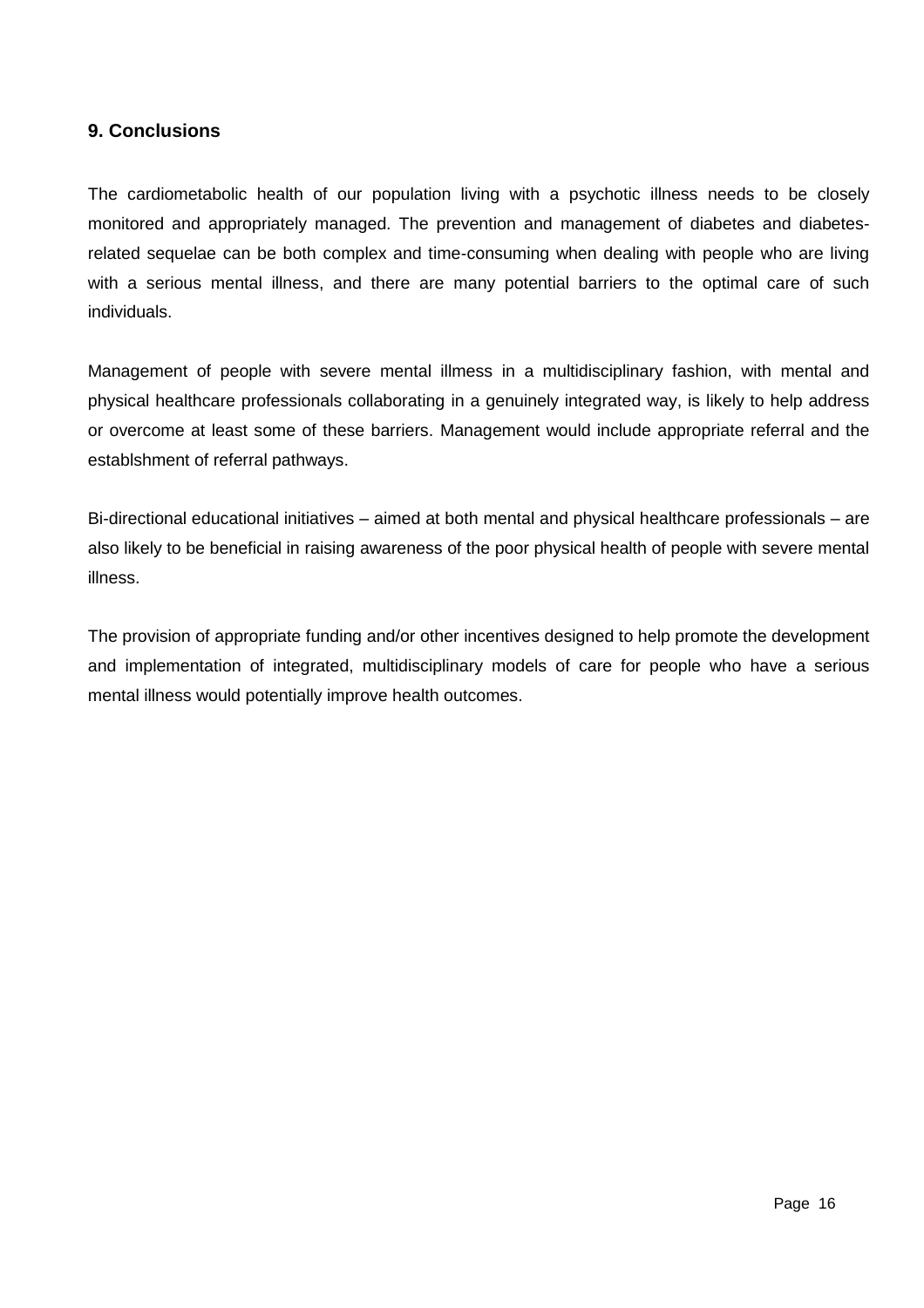# **9. Conclusions**

The cardiometabolic health of our population living with a psychotic illness needs to be closely monitored and appropriately managed. The prevention and management of diabetes and diabetesrelated sequelae can be both complex and time-consuming when dealing with people who are living with a serious mental illness, and there are many potential barriers to the optimal care of such individuals.

Management of people with severe mental illmess in a multidisciplinary fashion, with mental and physical healthcare professionals collaborating in a genuinely integrated way, is likely to help address or overcome at least some of these barriers. Management would include appropriate referral and the establshment of referral pathways.

Bi-directional educational initiatives – aimed at both mental and physical healthcare professionals – are also likely to be beneficial in raising awareness of the poor physical health of people with severe mental illness.

The provision of appropriate funding and/or other incentives designed to help promote the development and implementation of integrated, multidisciplinary models of care for people who have a serious mental illness would potentially improve health outcomes.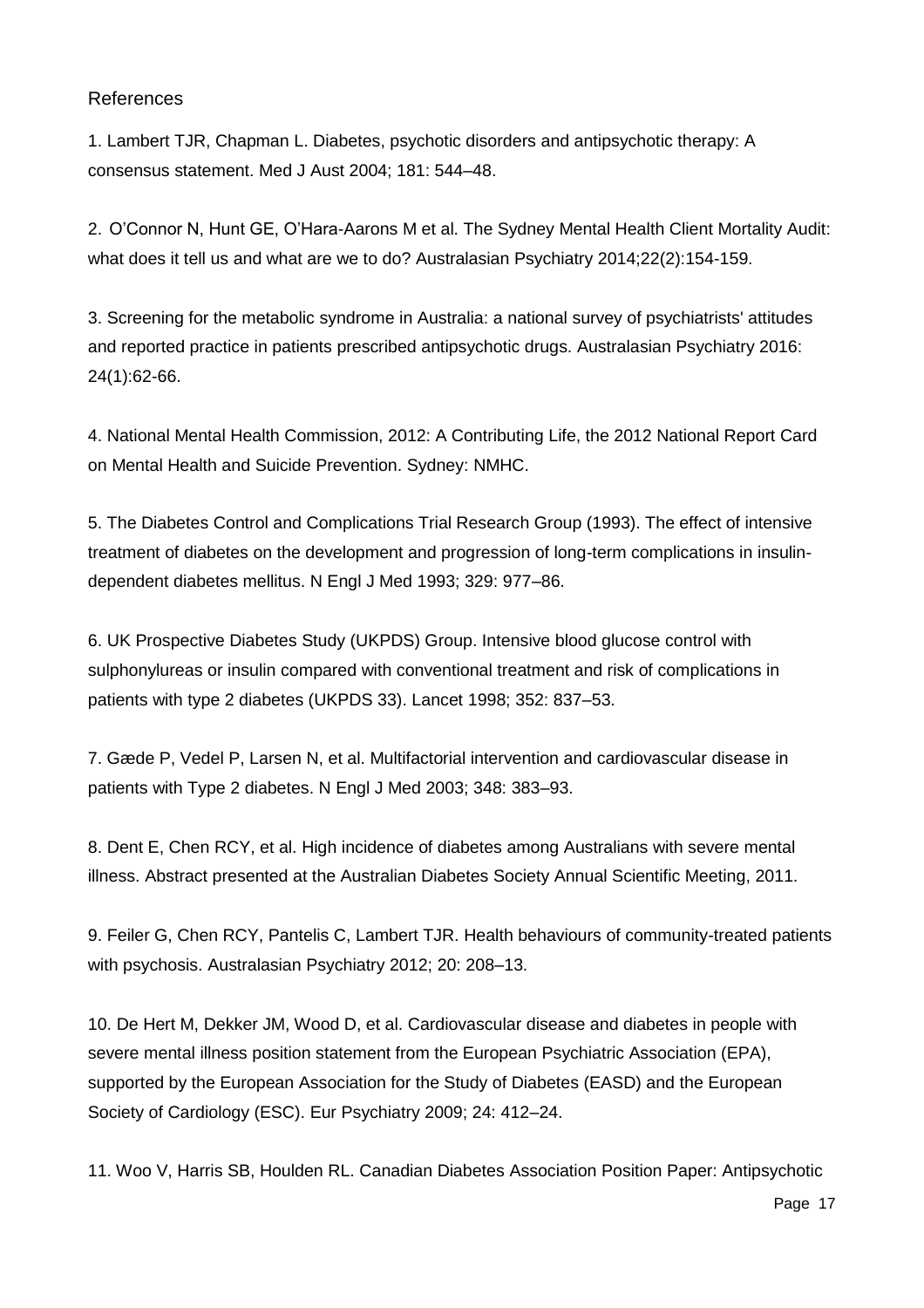# References

1. Lambert TJR, Chapman L. Diabetes, psychotic disorders and antipsychotic therapy: A consensus statement. Med J Aust 2004; 181: 544–48.

2. O'Connor N, Hunt GE, O'Hara-Aarons M et al. The Sydney Mental Health Client Mortality Audit: what does it tell us and what are we to do? Australasian Psychiatry 2014;22(2):154-159.

3. Screening for the metabolic syndrome in Australia: a national survey of psychiatrists' attitudes and reported practice in patients prescribed antipsychotic drugs. Australasian Psychiatry 2016: 24(1):62-66.

4. National Mental Health Commission, 2012: A Contributing Life, the 2012 National Report Card on Mental Health and Suicide Prevention. Sydney: NMHC.

5. The Diabetes Control and Complications Trial Research Group (1993). The effect of intensive treatment of diabetes on the development and progression of long-term complications in insulindependent diabetes mellitus. N Engl J Med 1993; 329: 977–86.

6. UK Prospective Diabetes Study (UKPDS) Group. Intensive blood glucose control with sulphonylureas or insulin compared with conventional treatment and risk of complications in patients with type 2 diabetes (UKPDS 33). Lancet 1998; 352: 837–53.

7. Gæde P, Vedel P, Larsen N, et al. Multifactorial intervention and cardiovascular disease in patients with Type 2 diabetes. N Engl J Med 2003; 348: 383–93.

8. Dent E, Chen RCY, et al. High incidence of diabetes among Australians with severe mental illness. Abstract presented at the Australian Diabetes Society Annual Scientific Meeting, 2011.

9. Feiler G, Chen RCY, Pantelis C, Lambert TJR. Health behaviours of community-treated patients with psychosis. Australasian Psychiatry 2012; 20: 208–13.

10. De Hert M, Dekker JM, Wood D, et al. Cardiovascular disease and diabetes in people with severe mental illness position statement from the European Psychiatric Association (EPA), supported by the European Association for the Study of Diabetes (EASD) and the European Society of Cardiology (ESC). Eur Psychiatry 2009; 24: 412–24.

11. Woo V, Harris SB, Houlden RL. Canadian Diabetes Association Position Paper: Antipsychotic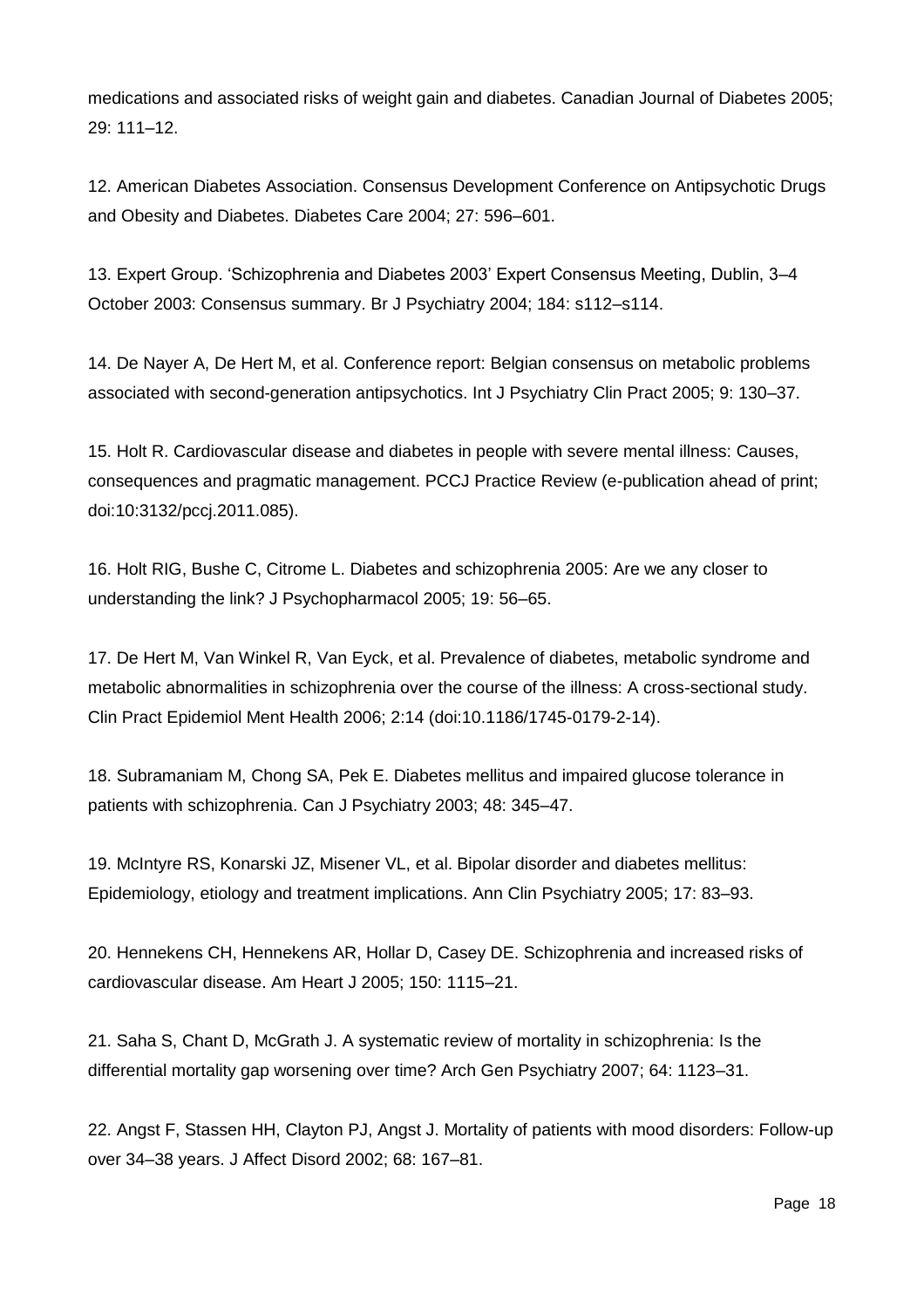medications and associated risks of weight gain and diabetes. Canadian Journal of Diabetes 2005; 29: 111–12.

12. American Diabetes Association. Consensus Development Conference on Antipsychotic Drugs and Obesity and Diabetes. Diabetes Care 2004; 27: 596–601.

13. Expert Group. 'Schizophrenia and Diabetes 2003' Expert Consensus Meeting, Dublin, 3–4 October 2003: Consensus summary. Br J Psychiatry 2004; 184: s112–s114.

14. De Nayer A, De Hert M, et al. Conference report: Belgian consensus on metabolic problems associated with second-generation antipsychotics. Int J Psychiatry Clin Pract 2005; 9: 130–37.

15. Holt R. Cardiovascular disease and diabetes in people with severe mental illness: Causes, consequences and pragmatic management. PCCJ Practice Review (e-publication ahead of print; doi:10:3132/pccj.2011.085).

16. Holt RIG, Bushe C, Citrome L. Diabetes and schizophrenia 2005: Are we any closer to understanding the link? J Psychopharmacol 2005; 19: 56–65.

17. De Hert M, Van Winkel R, Van Eyck, et al. Prevalence of diabetes, metabolic syndrome and metabolic abnormalities in schizophrenia over the course of the illness: A cross-sectional study. Clin Pract Epidemiol Ment Health 2006; 2:14 (doi:10.1186/1745-0179-2-14).

18. Subramaniam M, Chong SA, Pek E. Diabetes mellitus and impaired glucose tolerance in patients with schizophrenia. Can J Psychiatry 2003; 48: 345–47.

19. McIntyre RS, Konarski JZ, Misener VL, et al. Bipolar disorder and diabetes mellitus: Epidemiology, etiology and treatment implications. Ann Clin Psychiatry 2005; 17: 83–93.

20. Hennekens CH, Hennekens AR, Hollar D, Casey DE. Schizophrenia and increased risks of cardiovascular disease. Am Heart J 2005; 150: 1115–21.

21. Saha S, Chant D, McGrath J. A systematic review of mortality in schizophrenia: Is the differential mortality gap worsening over time? Arch Gen Psychiatry 2007; 64: 1123–31.

22. Angst F, Stassen HH, Clayton PJ, Angst J. Mortality of patients with mood disorders: Follow-up over 34–38 years. J Affect Disord 2002; 68: 167–81.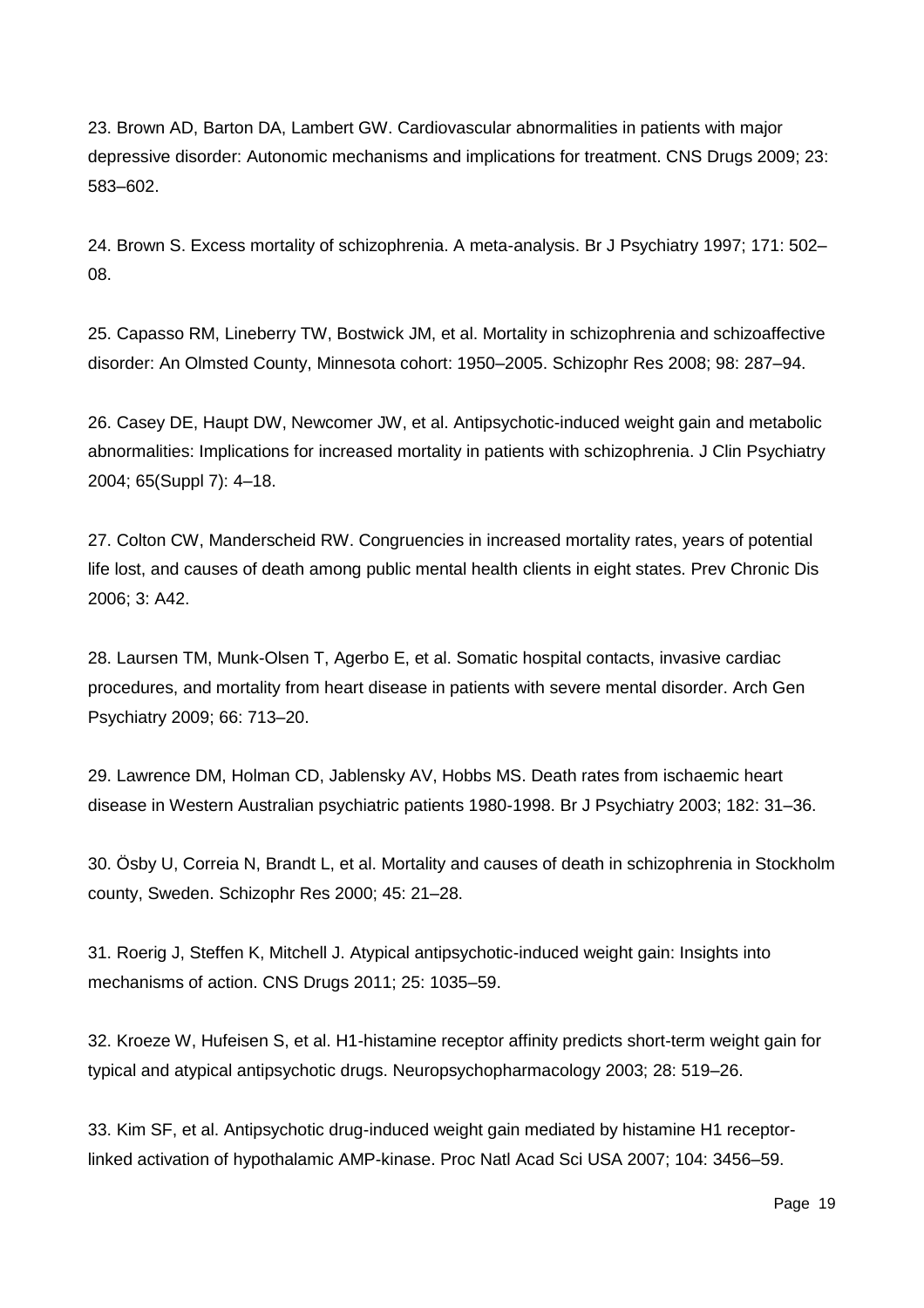23. Brown AD, Barton DA, Lambert GW. Cardiovascular abnormalities in patients with major depressive disorder: Autonomic mechanisms and implications for treatment. CNS Drugs 2009; 23: 583–602.

24. Brown S. Excess mortality of schizophrenia. A meta-analysis. Br J Psychiatry 1997; 171: 502– 08.

25. Capasso RM, Lineberry TW, Bostwick JM, et al. Mortality in schizophrenia and schizoaffective disorder: An Olmsted County, Minnesota cohort: 1950–2005. Schizophr Res 2008; 98: 287–94.

26. Casey DE, Haupt DW, Newcomer JW, et al. Antipsychotic-induced weight gain and metabolic abnormalities: Implications for increased mortality in patients with schizophrenia. J Clin Psychiatry 2004; 65(Suppl 7): 4–18.

27. Colton CW, Manderscheid RW. Congruencies in increased mortality rates, years of potential life lost, and causes of death among public mental health clients in eight states. Prev Chronic Dis 2006; 3: A42.

28. Laursen TM, Munk-Olsen T, Agerbo E, et al. Somatic hospital contacts, invasive cardiac procedures, and mortality from heart disease in patients with severe mental disorder. Arch Gen Psychiatry 2009; 66: 713–20.

29. Lawrence DM, Holman CD, Jablensky AV, Hobbs MS. Death rates from ischaemic heart disease in Western Australian psychiatric patients 1980-1998. Br J Psychiatry 2003; 182: 31–36.

30. Ösby U, Correia N, Brandt L, et al. Mortality and causes of death in schizophrenia in Stockholm county, Sweden. Schizophr Res 2000; 45: 21–28.

31. Roerig J, Steffen K, Mitchell J. Atypical antipsychotic-induced weight gain: Insights into mechanisms of action. CNS Drugs 2011; 25: 1035–59.

32. Kroeze W, Hufeisen S, et al. H1-histamine receptor affinity predicts short-term weight gain for typical and atypical antipsychotic drugs. Neuropsychopharmacology 2003; 28: 519–26.

33. Kim SF, et al. Antipsychotic drug-induced weight gain mediated by histamine H1 receptorlinked activation of hypothalamic AMP-kinase. Proc Natl Acad Sci USA 2007; 104: 3456–59.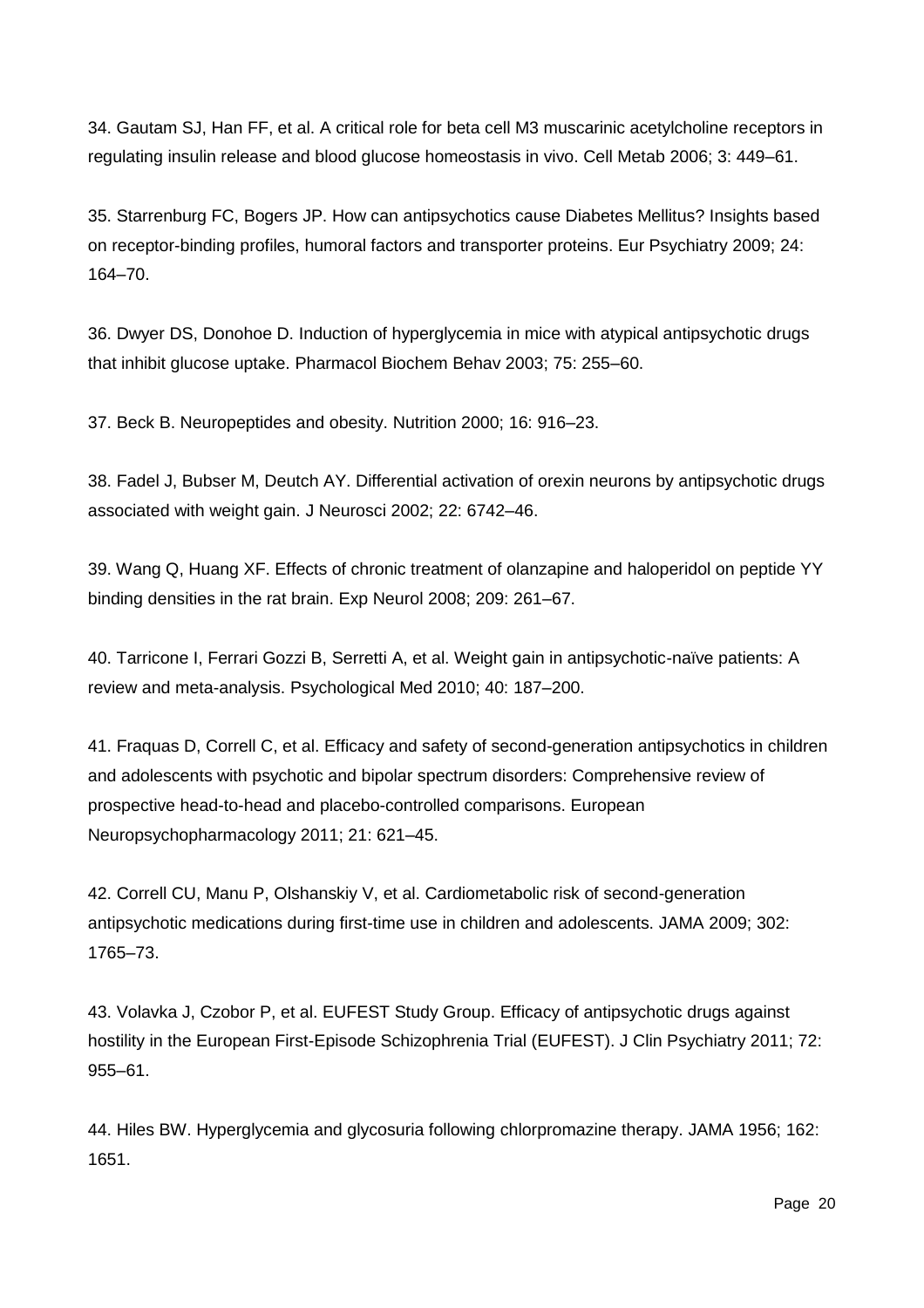34. Gautam SJ, Han FF, et al. A critical role for beta cell M3 muscarinic acetylcholine receptors in regulating insulin release and blood glucose homeostasis in vivo. Cell Metab 2006; 3: 449–61.

35. Starrenburg FC, Bogers JP. How can antipsychotics cause Diabetes Mellitus? Insights based on receptor-binding profiles, humoral factors and transporter proteins. Eur Psychiatry 2009; 24: 164–70.

36. Dwyer DS, Donohoe D. Induction of hyperglycemia in mice with atypical antipsychotic drugs that inhibit glucose uptake. Pharmacol Biochem Behav 2003; 75: 255–60.

37. Beck B. Neuropeptides and obesity. Nutrition 2000; 16: 916–23.

38. Fadel J, Bubser M, Deutch AY. Differential activation of orexin neurons by antipsychotic drugs associated with weight gain. J Neurosci 2002; 22: 6742–46.

39. Wang Q, Huang XF. Effects of chronic treatment of olanzapine and haloperidol on peptide YY binding densities in the rat brain. Exp Neurol 2008; 209: 261–67.

40. Tarricone I, Ferrari Gozzi B, Serretti A, et al. Weight gain in antipsychotic-naïve patients: A review and meta-analysis. Psychological Med 2010; 40: 187–200.

41. Fraquas D, Correll C, et al. Efficacy and safety of second-generation antipsychotics in children and adolescents with psychotic and bipolar spectrum disorders: Comprehensive review of prospective head-to-head and placebo-controlled comparisons. European Neuropsychopharmacology 2011; 21: 621–45.

42. Correll CU, Manu P, Olshanskiy V, et al. Cardiometabolic risk of second-generation antipsychotic medications during first-time use in children and adolescents. JAMA 2009; 302: 1765–73.

43. Volavka J, Czobor P, et al. EUFEST Study Group. Efficacy of antipsychotic drugs against hostility in the European First-Episode Schizophrenia Trial (EUFEST). J Clin Psychiatry 2011; 72: 955–61.

44. Hiles BW. Hyperglycemia and glycosuria following chlorpromazine therapy. JAMA 1956; 162: 1651.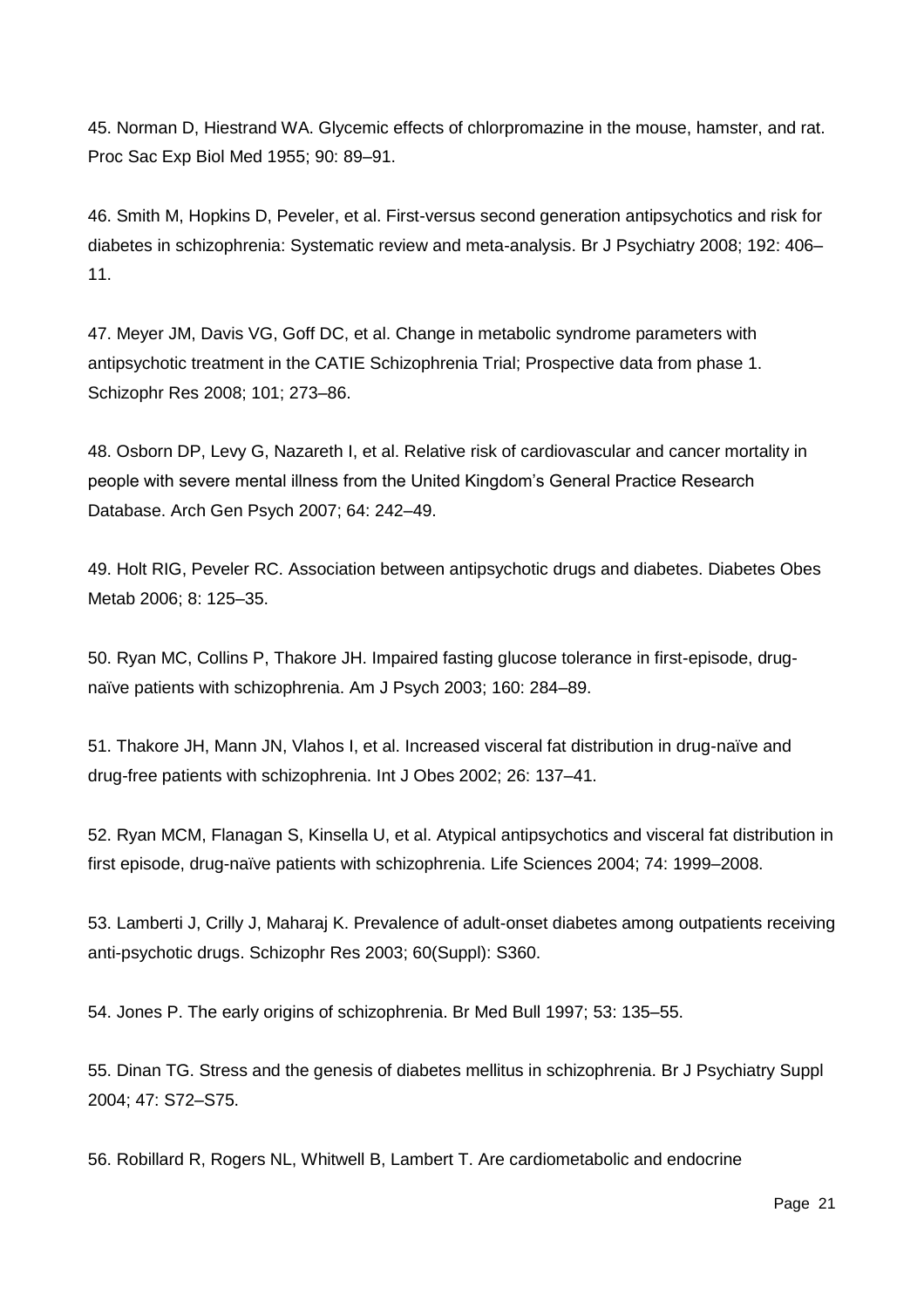45. Norman D, Hiestrand WA. Glycemic effects of chlorpromazine in the mouse, hamster, and rat. Proc Sac Exp Biol Med 1955; 90: 89–91.

46. Smith M, Hopkins D, Peveler, et al. First-versus second generation antipsychotics and risk for diabetes in schizophrenia: Systematic review and meta-analysis. Br J Psychiatry 2008; 192: 406– 11.

47. Meyer JM, Davis VG, Goff DC, et al. Change in metabolic syndrome parameters with antipsychotic treatment in the CATIE Schizophrenia Trial; Prospective data from phase 1. Schizophr Res 2008; 101; 273–86.

48. Osborn DP, Levy G, Nazareth I, et al. Relative risk of cardiovascular and cancer mortality in people with severe mental illness from the United Kingdom's General Practice Research Database. Arch Gen Psych 2007; 64: 242–49.

49. Holt RIG, Peveler RC. Association between antipsychotic drugs and diabetes. Diabetes Obes Metab 2006; 8: 125–35.

50. Ryan MC, Collins P, Thakore JH. Impaired fasting glucose tolerance in first-episode, drugnaïve patients with schizophrenia. Am J Psych 2003; 160: 284–89.

51. Thakore JH, Mann JN, Vlahos I, et al. Increased visceral fat distribution in drug-naïve and drug-free patients with schizophrenia. Int J Obes 2002; 26: 137–41.

52. Ryan MCM, Flanagan S, Kinsella U, et al. Atypical antipsychotics and visceral fat distribution in first episode, drug-naïve patients with schizophrenia. Life Sciences 2004; 74: 1999–2008.

53. Lamberti J, Crilly J, Maharaj K. Prevalence of adult-onset diabetes among outpatients receiving anti-psychotic drugs. Schizophr Res 2003; 60(Suppl): S360.

54. Jones P. The early origins of schizophrenia. Br Med Bull 1997; 53: 135–55.

55. Dinan TG. Stress and the genesis of diabetes mellitus in schizophrenia. Br J Psychiatry Suppl 2004; 47: S72–S75.

56. Robillard R, Rogers NL, Whitwell B, Lambert T. Are cardiometabolic and endocrine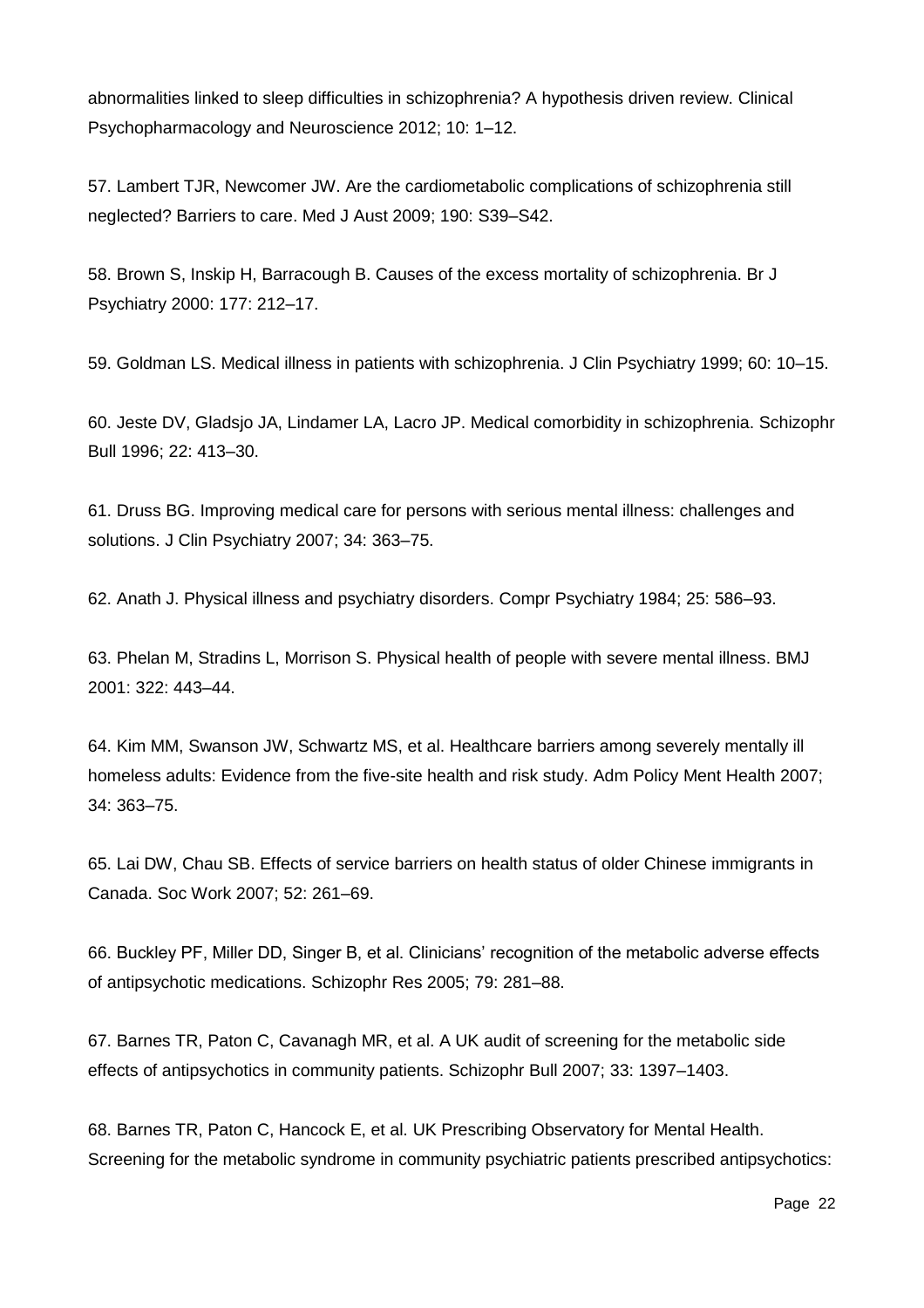abnormalities linked to sleep difficulties in schizophrenia? A hypothesis driven review. Clinical Psychopharmacology and Neuroscience 2012; 10: 1–12.

57. Lambert TJR, Newcomer JW. Are the cardiometabolic complications of schizophrenia still neglected? Barriers to care. Med J Aust 2009; 190: S39–S42.

58. Brown S, Inskip H, Barracough B. Causes of the excess mortality of schizophrenia. Br J Psychiatry 2000: 177: 212–17.

59. Goldman LS. Medical illness in patients with schizophrenia. J Clin Psychiatry 1999; 60: 10–15.

60. Jeste DV, Gladsjo JA, Lindamer LA, Lacro JP. Medical comorbidity in schizophrenia. Schizophr Bull 1996; 22: 413–30.

61. Druss BG. Improving medical care for persons with serious mental illness: challenges and solutions. J Clin Psychiatry 2007; 34: 363–75.

62. Anath J. Physical illness and psychiatry disorders. Compr Psychiatry 1984; 25: 586–93.

63. Phelan M, Stradins L, Morrison S. Physical health of people with severe mental illness. BMJ 2001: 322: 443–44.

64. Kim MM, Swanson JW, Schwartz MS, et al. Healthcare barriers among severely mentally ill homeless adults: Evidence from the five-site health and risk study. Adm Policy Ment Health 2007; 34: 363–75.

65. Lai DW, Chau SB. Effects of service barriers on health status of older Chinese immigrants in Canada. Soc Work 2007; 52: 261–69.

66. Buckley PF, Miller DD, Singer B, et al. Clinicians' recognition of the metabolic adverse effects of antipsychotic medications. Schizophr Res 2005; 79: 281–88.

67. Barnes TR, Paton C, Cavanagh MR, et al. A UK audit of screening for the metabolic side effects of antipsychotics in community patients. Schizophr Bull 2007; 33: 1397–1403.

68. Barnes TR, Paton C, Hancock E, et al. UK Prescribing Observatory for Mental Health. Screening for the metabolic syndrome in community psychiatric patients prescribed antipsychotics: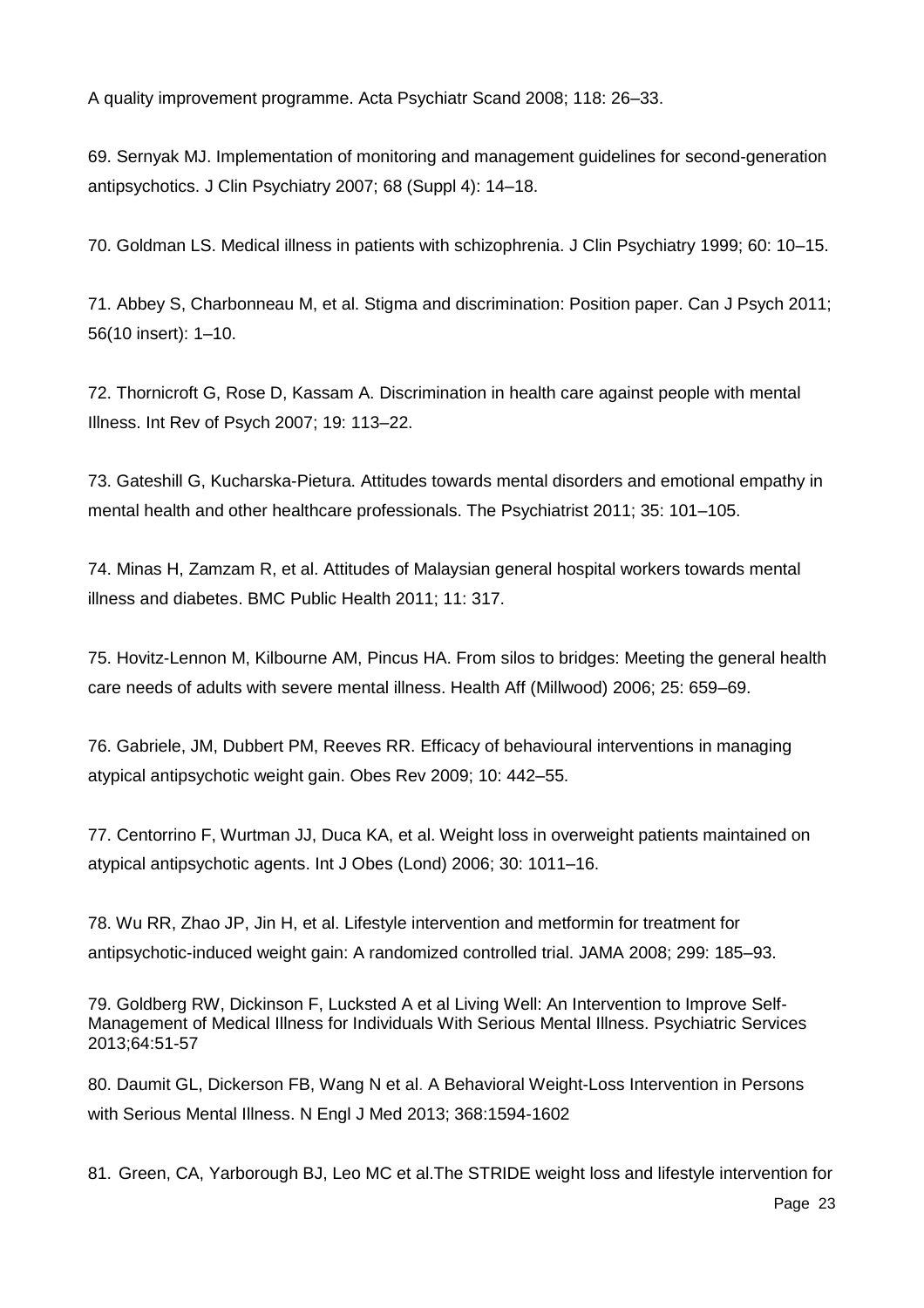A quality improvement programme. Acta Psychiatr Scand 2008; 118: 26–33.

69. Sernyak MJ. Implementation of monitoring and management guidelines for second-generation antipsychotics. J Clin Psychiatry 2007; 68 (Suppl 4): 14–18.

70. Goldman LS. Medical illness in patients with schizophrenia. J Clin Psychiatry 1999; 60: 10–15.

71. Abbey S, Charbonneau M, et al. Stigma and discrimination: Position paper. Can J Psych 2011; 56(10 insert): 1–10.

72. Thornicroft G, Rose D, Kassam A. Discrimination in health care against people with mental Illness. Int Rev of Psych 2007; 19: 113–22.

73. Gateshill G, Kucharska-Pietura. Attitudes towards mental disorders and emotional empathy in mental health and other healthcare professionals. The Psychiatrist 2011; 35: 101–105.

74. Minas H, Zamzam R, et al. Attitudes of Malaysian general hospital workers towards mental illness and diabetes. BMC Public Health 2011; 11: 317.

75. Hovitz-Lennon M, Kilbourne AM, Pincus HA. From silos to bridges: Meeting the general health care needs of adults with severe mental illness. Health Aff (Millwood) 2006; 25: 659–69.

76. Gabriele, JM, Dubbert PM, Reeves RR. Efficacy of behavioural interventions in managing atypical antipsychotic weight gain. Obes Rev 2009; 10: 442–55.

77. Centorrino F, Wurtman JJ, Duca KA, et al. Weight loss in overweight patients maintained on atypical antipsychotic agents. Int J Obes (Lond) 2006; 30: 1011–16.

78. Wu RR, Zhao JP, Jin H, et al. Lifestyle intervention and metformin for treatment for antipsychotic-induced weight gain: A randomized controlled trial. JAMA 2008; 299: 185–93.

79. Goldberg RW, Dickinson F, Lucksted A et al Living Well: An Intervention to Improve Self-Management of Medical Illness for Individuals With Serious Mental Illness. Psychiatric Services 2013;64:51-57

80. Daumit GL, Dickerson FB, Wang N et al. A Behavioral Weight-Loss Intervention in Persons with Serious Mental Illness. N Engl J Med 2013; 368:1594-1602

81. Green, CA, Yarborough BJ, Leo MC et al.The STRIDE weight loss and lifestyle intervention for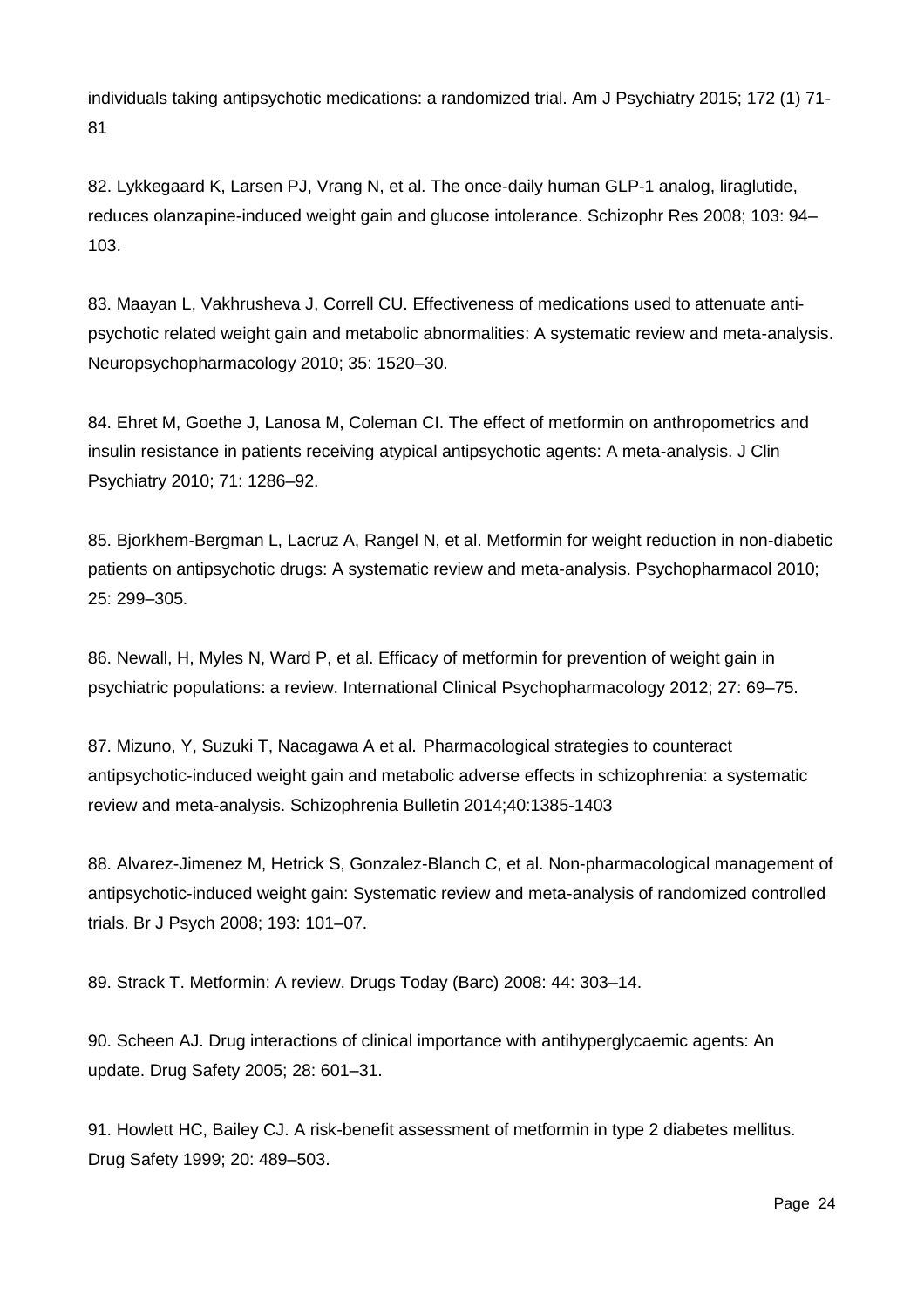individuals taking antipsychotic medications: a randomized trial. Am J Psychiatry 2015; 172 (1) 71- 81

82. Lykkegaard K, Larsen PJ, Vrang N, et al. The once-daily human GLP-1 analog, liraglutide, reduces olanzapine-induced weight gain and glucose intolerance. Schizophr Res 2008; 103: 94– 103.

83. Maayan L, Vakhrusheva J, Correll CU. Effectiveness of medications used to attenuate antipsychotic related weight gain and metabolic abnormalities: A systematic review and meta-analysis. Neuropsychopharmacology 2010; 35: 1520–30.

84. Ehret M, Goethe J, Lanosa M, Coleman CI. The effect of metformin on anthropometrics and insulin resistance in patients receiving atypical antipsychotic agents: A meta-analysis. J Clin Psychiatry 2010; 71: 1286–92.

85. Bjorkhem-Bergman L, Lacruz A, Rangel N, et al. Metformin for weight reduction in non-diabetic patients on antipsychotic drugs: A systematic review and meta-analysis. Psychopharmacol 2010; 25: 299–305.

86. Newall, H, Myles N, Ward P, et al. Efficacy of metformin for prevention of weight gain in psychiatric populations: a review. International Clinical Psychopharmacology 2012; 27: 69–75.

87. Mizuno, Y, Suzuki T, Nacagawa A et al. Pharmacological strategies to counteract antipsychotic-induced weight gain and metabolic adverse effects in schizophrenia: a systematic review and meta-analysis. Schizophrenia Bulletin 2014;40:1385-1403

88. Alvarez-Jimenez M, Hetrick S, Gonzalez-Blanch C, et al. Non-pharmacological management of antipsychotic-induced weight gain: Systematic review and meta-analysis of randomized controlled trials. Br J Psych 2008; 193: 101–07.

89. Strack T. Metformin: A review. Drugs Today (Barc) 2008: 44: 303–14.

90. Scheen AJ. Drug interactions of clinical importance with antihyperglycaemic agents: An update. Drug Safety 2005; 28: 601–31.

91. Howlett HC, Bailey CJ. A risk-benefit assessment of metformin in type 2 diabetes mellitus. Drug Safety 1999; 20: 489–503.